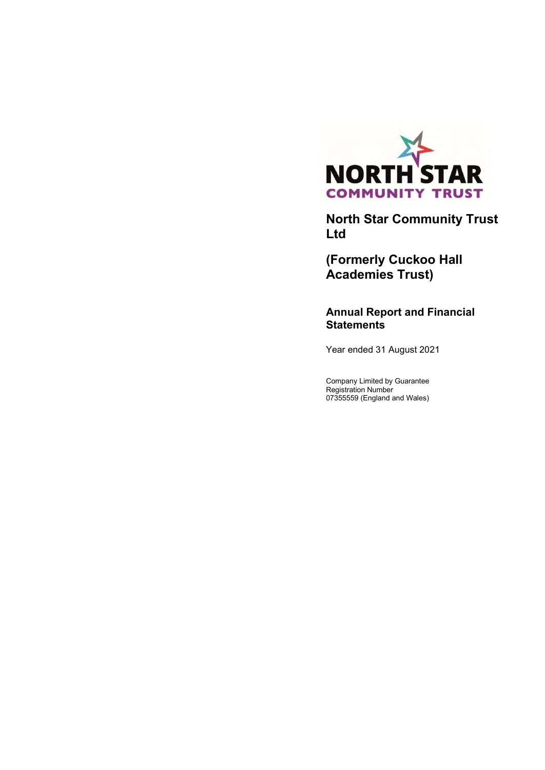

**North Star Community Trust Ltd**

**(Formerly Cuckoo Hall Academies Trust)**

**Annual Report and Financial Statements**

Year ended 31 August 2021

Company Limited by Guarantee Registration Number 07355559 (England and Wales)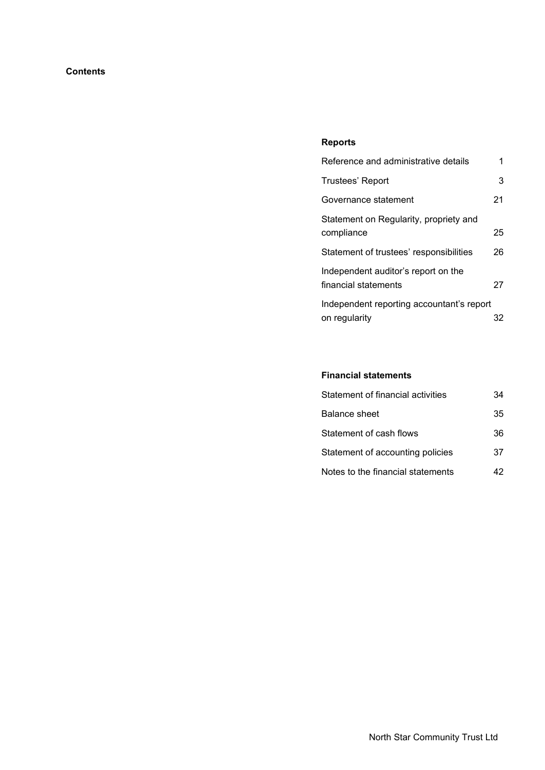# **Contents**

# **Reports**

| Reference and administrative details                        | 1  |
|-------------------------------------------------------------|----|
| Trustees' Report                                            | 3  |
| Governance statement                                        | 21 |
| Statement on Regularity, propriety and<br>compliance        | 25 |
| Statement of trustees' responsibilities                     | 26 |
| Independent auditor's report on the<br>financial statements | 27 |
| Independent reporting accountant's report<br>on regularity  | 32 |

# **Financial statements**

| Statement of financial activities | 34 |
|-----------------------------------|----|
| <b>Balance sheet</b>              | 35 |
| Statement of cash flows           | 36 |
| Statement of accounting policies  | 37 |
| Notes to the financial statements | 42 |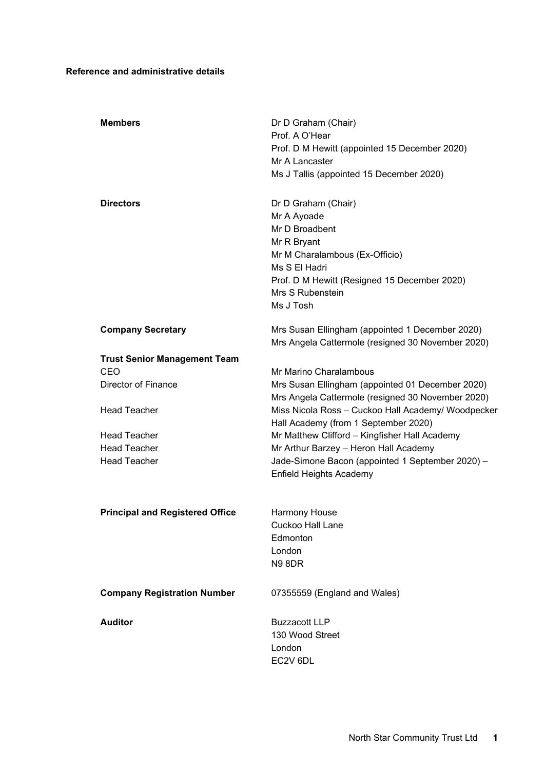# **Reference and administrative details**

| <b>Members</b>                                                                                                                                                                                                 | Dr D Graham (Chair)<br>Prof. A O'Hear<br>Prof. D M Hewitt (appointed 15 December 2020)<br>Mr A Lancaster<br>Ms J Tallis (appointed 15 December 2020)                                                                                                                                                                                                                                                                           |
|----------------------------------------------------------------------------------------------------------------------------------------------------------------------------------------------------------------|--------------------------------------------------------------------------------------------------------------------------------------------------------------------------------------------------------------------------------------------------------------------------------------------------------------------------------------------------------------------------------------------------------------------------------|
| <b>Directors</b>                                                                                                                                                                                               | Dr D Graham (Chair)<br>Mr A Ayoade<br>Mr D Broadbent<br>Mr R Bryant<br>Mr M Charalambous (Ex-Officio)<br>Ms S El Hadri<br>Prof. D M Hewitt (Resigned 15 December 2020)<br>Mrs S Rubenstein<br>Ms J Tosh                                                                                                                                                                                                                        |
| <b>Company Secretary</b>                                                                                                                                                                                       | Mrs Susan Ellingham (appointed 1 December 2020)<br>Mrs Angela Cattermole (resigned 30 November 2020)                                                                                                                                                                                                                                                                                                                           |
| <b>Trust Senior Management Team</b><br>CEO<br><b>Director of Finance</b><br><b>Head Teacher</b><br><b>Head Teacher</b><br><b>Head Teacher</b><br><b>Head Teacher</b><br><b>Principal and Registered Office</b> | Mr Marino Charalambous<br>Mrs Susan Ellingham (appointed 01 December 2020)<br>Mrs Angela Cattermole (resigned 30 November 2020)<br>Miss Nicola Ross - Cuckoo Hall Academy/ Woodpecker<br>Hall Academy (from 1 September 2020)<br>Mr Matthew Clifford - Kingfisher Hall Academy<br>Mr Arthur Barzey - Heron Hall Academy<br>Jade-Simone Bacon (appointed 1 September 2020) -<br><b>Enfield Heights Academy</b><br>Harmony House |
|                                                                                                                                                                                                                | Cuckoo Hall Lane<br>Edmonton<br>London<br><b>N9 8DR</b>                                                                                                                                                                                                                                                                                                                                                                        |
| <b>Company Registration Number</b>                                                                                                                                                                             | 07355559 (England and Wales)                                                                                                                                                                                                                                                                                                                                                                                                   |
| <b>Auditor</b>                                                                                                                                                                                                 | <b>Buzzacott LLP</b><br>130 Wood Street<br>London<br>EC2V 6DL                                                                                                                                                                                                                                                                                                                                                                  |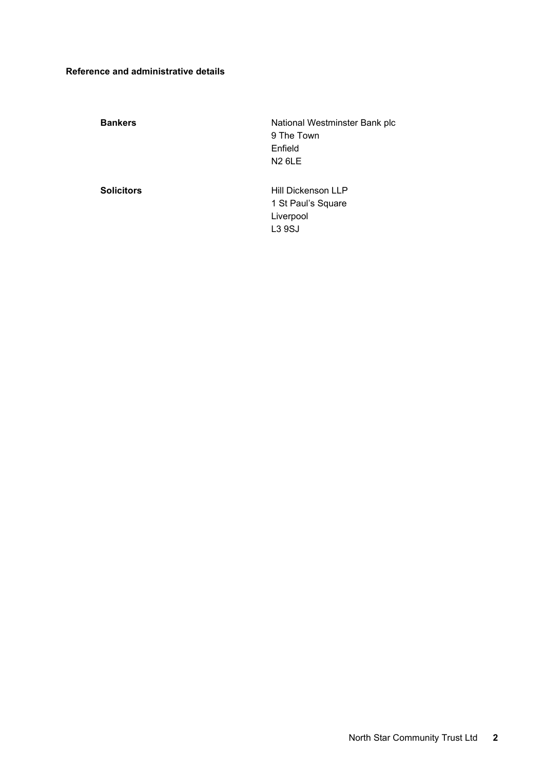# **Reference and administrative details**

**Bankers Bankers Bank plc Bank plc National Westminster Bank plc** 9 The Town Enfield N2 6LE **Solicitors Solicitors Hill Dickenson LLP** 1 St Paul's Square Liverpool L3 9SJ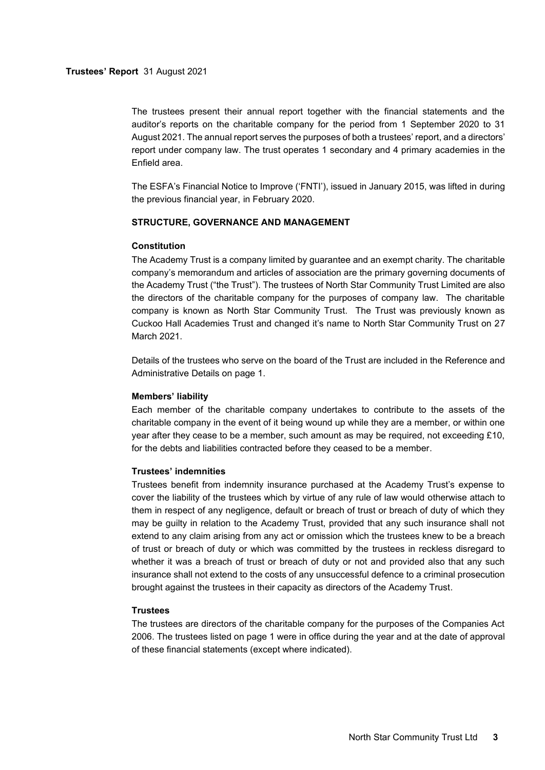The trustees present their annual report together with the financial statements and the auditor's reports on the charitable company for the period from 1 September 2020 to 31 August 2021. The annual report serves the purposes of both a trustees' report, and a directors' report under company law. The trust operates 1 secondary and 4 primary academies in the Enfield area.

The ESFA's Financial Notice to Improve ('FNTI'), issued in January 2015, was lifted in during the previous financial year, in February 2020.

### **STRUCTURE, GOVERNANCE AND MANAGEMENT**

#### **Constitution**

The Academy Trust is a company limited by guarantee and an exempt charity. The charitable company's memorandum and articles of association are the primary governing documents of the Academy Trust ("the Trust"). The trustees of North Star Community Trust Limited are also the directors of the charitable company for the purposes of company law. The charitable company is known as North Star Community Trust. The Trust was previously known as Cuckoo Hall Academies Trust and changed it's name to North Star Community Trust on 27 March 2021.

Details of the trustees who serve on the board of the Trust are included in the Reference and Administrative Details on page 1.

## **Members' liability**

Each member of the charitable company undertakes to contribute to the assets of the charitable company in the event of it being wound up while they are a member, or within one year after they cease to be a member, such amount as may be required, not exceeding £10, for the debts and liabilities contracted before they ceased to be a member.

### **Trustees' indemnities**

Trustees benefit from indemnity insurance purchased at the Academy Trust's expense to cover the liability of the trustees which by virtue of any rule of law would otherwise attach to them in respect of any negligence, default or breach of trust or breach of duty of which they may be guilty in relation to the Academy Trust, provided that any such insurance shall not extend to any claim arising from any act or omission which the trustees knew to be a breach of trust or breach of duty or which was committed by the trustees in reckless disregard to whether it was a breach of trust or breach of duty or not and provided also that any such insurance shall not extend to the costs of any unsuccessful defence to a criminal prosecution brought against the trustees in their capacity as directors of the Academy Trust.

#### **Trustees**

The trustees are directors of the charitable company for the purposes of the Companies Act 2006. The trustees listed on page 1 were in office during the year and at the date of approval of these financial statements (except where indicated).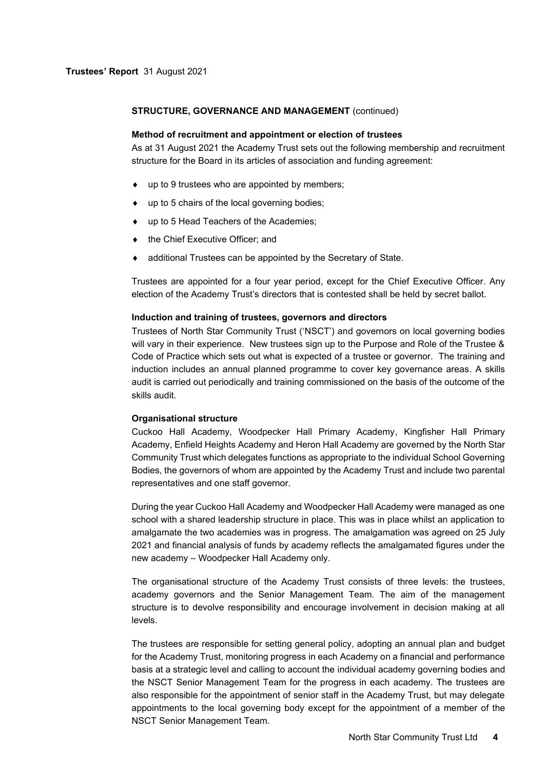#### **Method of recruitment and appointment or election of trustees**

As at 31 August 2021 the Academy Trust sets out the following membership and recruitment structure for the Board in its articles of association and funding agreement:

- up to 9 trustees who are appointed by members;
- up to 5 chairs of the local governing bodies;
- ◆ up to 5 Head Teachers of the Academies;
- $\bullet$  the Chief Executive Officer; and
- additional Trustees can be appointed by the Secretary of State.

Trustees are appointed for a four year period, except for the Chief Executive Officer. Any election of the Academy Trust's directors that is contested shall be held by secret ballot.

#### **Induction and training of trustees, governors and directors**

Trustees of North Star Community Trust ('NSCT') and governors on local governing bodies will vary in their experience. New trustees sign up to the Purpose and Role of the Trustee & Code of Practice which sets out what is expected of a trustee or governor. The training and induction includes an annual planned programme to cover key governance areas. A skills audit is carried out periodically and training commissioned on the basis of the outcome of the skills audit.

## **Organisational structure**

Cuckoo Hall Academy, Woodpecker Hall Primary Academy, Kingfisher Hall Primary Academy, Enfield Heights Academy and Heron Hall Academy are governed by the North Star Community Trust which delegates functions as appropriate to the individual School Governing Bodies, the governors of whom are appointed by the Academy Trust and include two parental representatives and one staff governor.

During the year Cuckoo Hall Academy and Woodpecker Hall Academy were managed as one school with a shared leadership structure in place. This was in place whilst an application to amalgamate the two academies was in progress. The amalgamation was agreed on 25 July 2021 and financial analysis of funds by academy reflects the amalgamated figures under the new academy – Woodpecker Hall Academy only.

The organisational structure of the Academy Trust consists of three levels: the trustees, academy governors and the Senior Management Team. The aim of the management structure is to devolve responsibility and encourage involvement in decision making at all levels.

The trustees are responsible for setting general policy, adopting an annual plan and budget for the Academy Trust, monitoring progress in each Academy on a financial and performance basis at a strategic level and calling to account the individual academy governing bodies and the NSCT Senior Management Team for the progress in each academy. The trustees are also responsible for the appointment of senior staff in the Academy Trust, but may delegate appointments to the local governing body except for the appointment of a member of the NSCT Senior Management Team.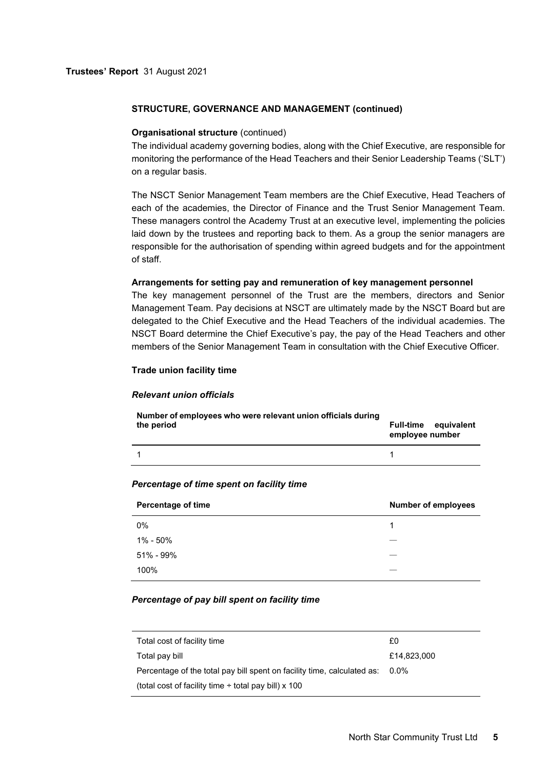#### **Organisational structure** (continued)

The individual academy governing bodies, along with the Chief Executive, are responsible for monitoring the performance of the Head Teachers and their Senior Leadership Teams ('SLT') on a regular basis.

The NSCT Senior Management Team members are the Chief Executive, Head Teachers of each of the academies, the Director of Finance and the Trust Senior Management Team. These managers control the Academy Trust at an executive level, implementing the policies laid down by the trustees and reporting back to them. As a group the senior managers are responsible for the authorisation of spending within agreed budgets and for the appointment of staff.

#### **Arrangements for setting pay and remuneration of key management personnel**

The key management personnel of the Trust are the members, directors and Senior Management Team. Pay decisions at NSCT are ultimately made by the NSCT Board but are delegated to the Chief Executive and the Head Teachers of the individual academies. The NSCT Board determine the Chief Executive's pay, the pay of the Head Teachers and other members of the Senior Management Team in consultation with the Chief Executive Officer.

## **Trade union facility time**

# *Relevant union officials*

| Number of employees who were relevant union officials during | <b>Full-time</b> equivalent |
|--------------------------------------------------------------|-----------------------------|
| the period                                                   | employee number             |
|                                                              |                             |

#### *Percentage of time spent on facility time*

| <b>Percentage of time</b> | <b>Number of employees</b> |
|---------------------------|----------------------------|
| $0\%$                     | 1                          |
| 1% - 50%                  |                            |
| 51% - 99%                 |                            |
| 100%                      |                            |

# *Percentage of pay bill spent on facility time*

| £0                                                                           |
|------------------------------------------------------------------------------|
| £14.823.000                                                                  |
| Percentage of the total pay bill spent on facility time, calculated as: 0.0% |
|                                                                              |
|                                                                              |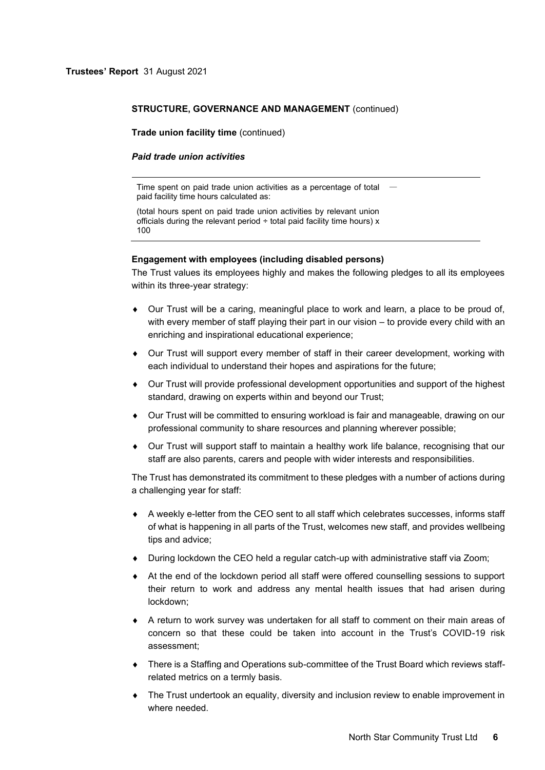**Trade union facility time** (continued)

#### *Paid trade union activities*

Time spent on paid trade union activities as a percentage of total  $\;\;$ paid facility time hours calculated as:

(total hours spent on paid trade union activities by relevant union officials during the relevant period  $\div$  total paid facility time hours) x 100

## **Engagement with employees (including disabled persons)**

The Trust values its employees highly and makes the following pledges to all its employees within its three-year strategy:

- Our Trust will be a caring, meaningful place to work and learn, a place to be proud of, with every member of staff playing their part in our vision – to provide every child with an enriching and inspirational educational experience;
- Our Trust will support every member of staff in their career development, working with each individual to understand their hopes and aspirations for the future;
- Our Trust will provide professional development opportunities and support of the highest standard, drawing on experts within and beyond our Trust;
- Our Trust will be committed to ensuring workload is fair and manageable, drawing on our professional community to share resources and planning wherever possible;
- Our Trust will support staff to maintain a healthy work life balance, recognising that our staff are also parents, carers and people with wider interests and responsibilities.

The Trust has demonstrated its commitment to these pledges with a number of actions during a challenging year for staff:

- A weekly e-letter from the CEO sent to all staff which celebrates successes, informs staff of what is happening in all parts of the Trust, welcomes new staff, and provides wellbeing tips and advice;
- During lockdown the CEO held a regular catch-up with administrative staff via Zoom;
- At the end of the lockdown period all staff were offered counselling sessions to support their return to work and address any mental health issues that had arisen during lockdown;
- A return to work survey was undertaken for all staff to comment on their main areas of concern so that these could be taken into account in the Trust's COVID-19 risk assessment;
- There is a Staffing and Operations sub-committee of the Trust Board which reviews staffrelated metrics on a termly basis.
- The Trust undertook an equality, diversity and inclusion review to enable improvement in where needed.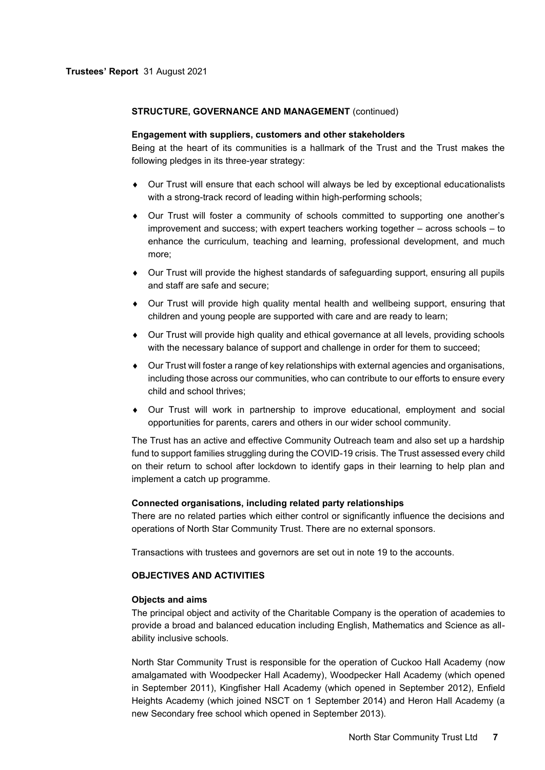## **Engagement with suppliers, customers and other stakeholders**

Being at the heart of its communities is a hallmark of the Trust and the Trust makes the following pledges in its three-year strategy:

- Our Trust will ensure that each school will always be led by exceptional educationalists with a strong-track record of leading within high-performing schools;
- Our Trust will foster a community of schools committed to supporting one another's improvement and success; with expert teachers working together – across schools – to enhance the curriculum, teaching and learning, professional development, and much more;
- Our Trust will provide the highest standards of safeguarding support, ensuring all pupils and staff are safe and secure;
- Our Trust will provide high quality mental health and wellbeing support, ensuring that children and young people are supported with care and are ready to learn;
- Our Trust will provide high quality and ethical governance at all levels, providing schools with the necessary balance of support and challenge in order for them to succeed;
- Our Trust will foster a range of key relationships with external agencies and organisations, including those across our communities, who can contribute to our efforts to ensure every child and school thrives;
- Our Trust will work in partnership to improve educational, employment and social opportunities for parents, carers and others in our wider school community.

The Trust has an active and effective Community Outreach team and also set up a hardship fund to support families struggling during the COVID-19 crisis. The Trust assessed every child on their return to school after lockdown to identify gaps in their learning to help plan and implement a catch up programme.

# **Connected organisations, including related party relationships**

There are no related parties which either control or significantly influence the decisions and operations of North Star Community Trust. There are no external sponsors.

Transactions with trustees and governors are set out in note 19 to the accounts.

# **OBJECTIVES AND ACTIVITIES**

### **Objects and aims**

The principal object and activity of the Charitable Company is the operation of academies to provide a broad and balanced education including English, Mathematics and Science as allability inclusive schools.

North Star Community Trust is responsible for the operation of Cuckoo Hall Academy (now amalgamated with Woodpecker Hall Academy), Woodpecker Hall Academy (which opened in September 2011), Kingfisher Hall Academy (which opened in September 2012), Enfield Heights Academy (which joined NSCT on 1 September 2014) and Heron Hall Academy (a new Secondary free school which opened in September 2013).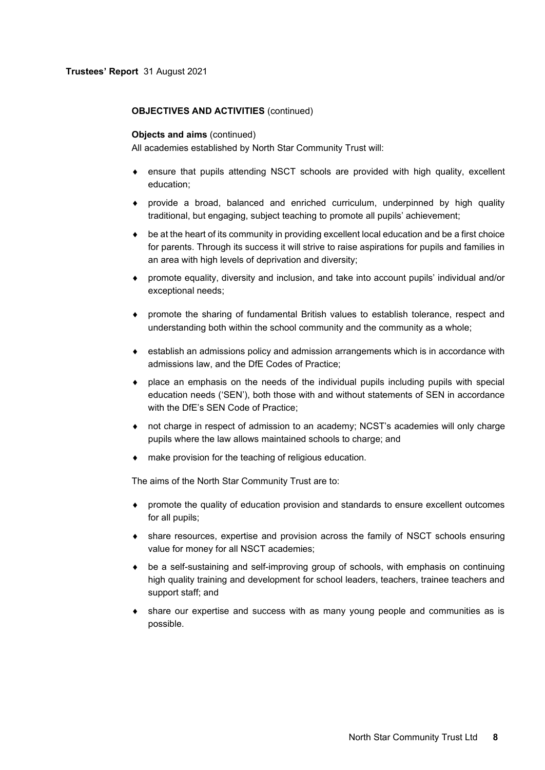# **OBJECTIVES AND ACTIVITIES** (continued)

#### **Objects and aims** (continued)

All academies established by North Star Community Trust will:

- ensure that pupils attending NSCT schools are provided with high quality, excellent education;
- provide a broad, balanced and enriched curriculum, underpinned by high quality traditional, but engaging, subject teaching to promote all pupils' achievement;
- be at the heart of its community in providing excellent local education and be a first choice for parents. Through its success it will strive to raise aspirations for pupils and families in an area with high levels of deprivation and diversity;
- promote equality, diversity and inclusion, and take into account pupils' individual and/or exceptional needs;
- promote the sharing of fundamental British values to establish tolerance, respect and understanding both within the school community and the community as a whole;
- establish an admissions policy and admission arrangements which is in accordance with admissions law, and the DfE Codes of Practice;
- place an emphasis on the needs of the individual pupils including pupils with special education needs ('SEN'), both those with and without statements of SEN in accordance with the DfE's SEN Code of Practice;
- not charge in respect of admission to an academy; NCST's academies will only charge pupils where the law allows maintained schools to charge; and
- make provision for the teaching of religious education.

The aims of the North Star Community Trust are to:

- promote the quality of education provision and standards to ensure excellent outcomes for all pupils;
- share resources, expertise and provision across the family of NSCT schools ensuring value for money for all NSCT academies;
- be a self-sustaining and self-improving group of schools, with emphasis on continuing high quality training and development for school leaders, teachers, trainee teachers and support staff; and
- share our expertise and success with as many young people and communities as is possible.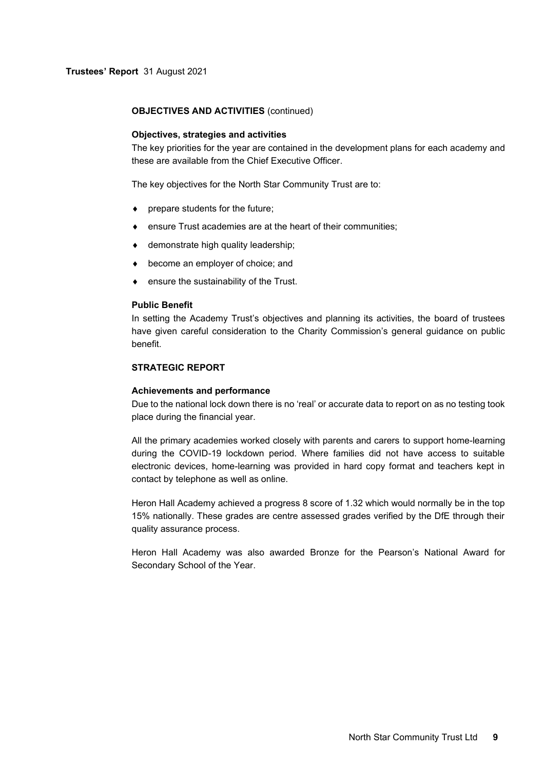## **OBJECTIVES AND ACTIVITIES** (continued)

#### **Objectives, strategies and activities**

The key priorities for the year are contained in the development plans for each academy and these are available from the Chief Executive Officer.

The key objectives for the North Star Community Trust are to:

- prepare students for the future;
- ensure Trust academies are at the heart of their communities;
- ♦ demonstrate high quality leadership;
- become an employer of choice; and
- ensure the sustainability of the Trust.

#### **Public Benefit**

In setting the Academy Trust's objectives and planning its activities, the board of trustees have given careful consideration to the Charity Commission's general guidance on public benefit.

# **STRATEGIC REPORT**

#### **Achievements and performance**

Due to the national lock down there is no 'real' or accurate data to report on as no testing took place during the financial year.

All the primary academies worked closely with parents and carers to support home-learning during the COVID-19 lockdown period. Where families did not have access to suitable electronic devices, home-learning was provided in hard copy format and teachers kept in contact by telephone as well as online.

Heron Hall Academy achieved a progress 8 score of 1.32 which would normally be in the top 15% nationally. These grades are centre assessed grades verified by the DfE through their quality assurance process.

Heron Hall Academy was also awarded Bronze for the Pearson's National Award for Secondary School of the Year.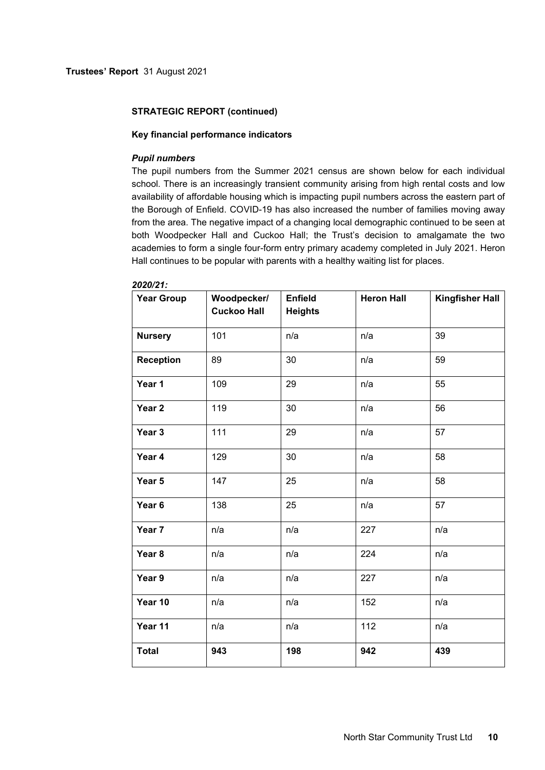# **Key financial performance indicators**

### *Pupil numbers*

The pupil numbers from the Summer 2021 census are shown below for each individual school. There is an increasingly transient community arising from high rental costs and low availability of affordable housing which is impacting pupil numbers across the eastern part of the Borough of Enfield. COVID-19 has also increased the number of families moving away from the area. The negative impact of a changing local demographic continued to be seen at both Woodpecker Hall and Cuckoo Hall; the Trust's decision to amalgamate the two academies to form a single four-form entry primary academy completed in July 2021. Heron Hall continues to be popular with parents with a healthy waiting list for places.

| <b>Year Group</b> | Woodpecker/<br><b>Cuckoo Hall</b> | <b>Enfield</b><br><b>Heights</b> | <b>Heron Hall</b> | <b>Kingfisher Hall</b> |
|-------------------|-----------------------------------|----------------------------------|-------------------|------------------------|
| <b>Nursery</b>    | 101                               | n/a                              | n/a               | 39                     |
| <b>Reception</b>  | 89                                | 30                               | n/a               | 59                     |
| Year 1            | 109                               | 29                               | n/a               | 55                     |
| Year <sub>2</sub> | 119                               | 30                               | n/a               | 56                     |
| Year 3            | 111                               | 29                               | n/a               | 57                     |
| Year 4            | 129                               | 30                               | n/a               | 58                     |
| Year 5            | 147                               | 25                               | n/a               | 58                     |
| Year 6            | 138                               | 25                               | n/a               | 57                     |
| Year 7            | n/a                               | n/a                              | 227               | n/a                    |
| Year 8            | n/a                               | n/a                              | 224               | n/a                    |
| Year 9            | n/a                               | n/a                              | 227               | n/a                    |
| Year 10           | n/a                               | n/a                              | 152               | n/a                    |
| Year 11           | n/a                               | n/a                              | 112               | n/a                    |
| <b>Total</b>      | 943                               | 198                              | 942               | 439                    |

# *2020/21:*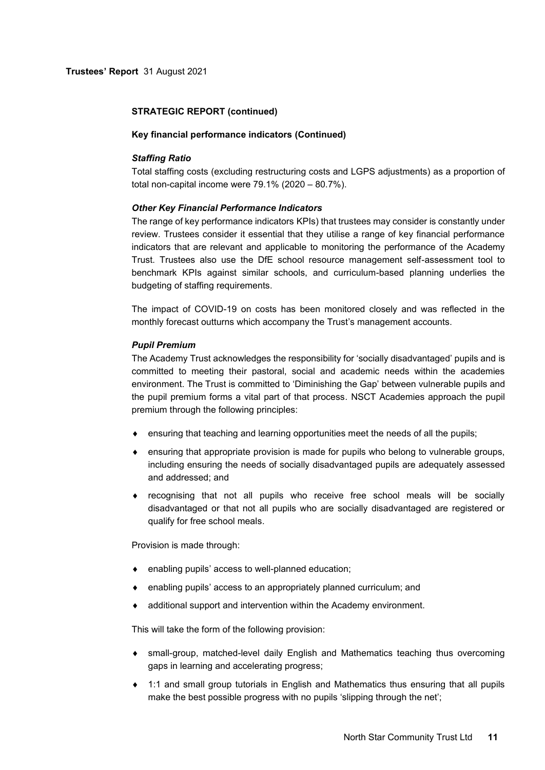### **Key financial performance indicators (Continued)**

## *Staffing Ratio*

Total staffing costs (excluding restructuring costs and LGPS adjustments) as a proportion of total non-capital income were 79.1% (2020 – 80.7%).

## *Other Key Financial Performance Indicators*

The range of key performance indicators KPIs) that trustees may consider is constantly under review. Trustees consider it essential that they utilise a range of key financial performance indicators that are relevant and applicable to monitoring the performance of the Academy Trust. Trustees also use the DfE school resource management self-assessment tool to benchmark KPIs against similar schools, and curriculum-based planning underlies the budgeting of staffing requirements.

The impact of COVID-19 on costs has been monitored closely and was reflected in the monthly forecast outturns which accompany the Trust's management accounts.

#### *Pupil Premium*

The Academy Trust acknowledges the responsibility for 'socially disadvantaged' pupils and is committed to meeting their pastoral, social and academic needs within the academies environment. The Trust is committed to 'Diminishing the Gap' between vulnerable pupils and the pupil premium forms a vital part of that process. NSCT Academies approach the pupil premium through the following principles:

- ensuring that teaching and learning opportunities meet the needs of all the pupils;
- ensuring that appropriate provision is made for pupils who belong to vulnerable groups, including ensuring the needs of socially disadvantaged pupils are adequately assessed and addressed; and
- recognising that not all pupils who receive free school meals will be socially disadvantaged or that not all pupils who are socially disadvantaged are registered or qualify for free school meals.

Provision is made through:

- enabling pupils' access to well-planned education;
- enabling pupils' access to an appropriately planned curriculum; and
- additional support and intervention within the Academy environment.

This will take the form of the following provision:

- small-group, matched-level daily English and Mathematics teaching thus overcoming gaps in learning and accelerating progress;
- 1:1 and small group tutorials in English and Mathematics thus ensuring that all pupils make the best possible progress with no pupils 'slipping through the net';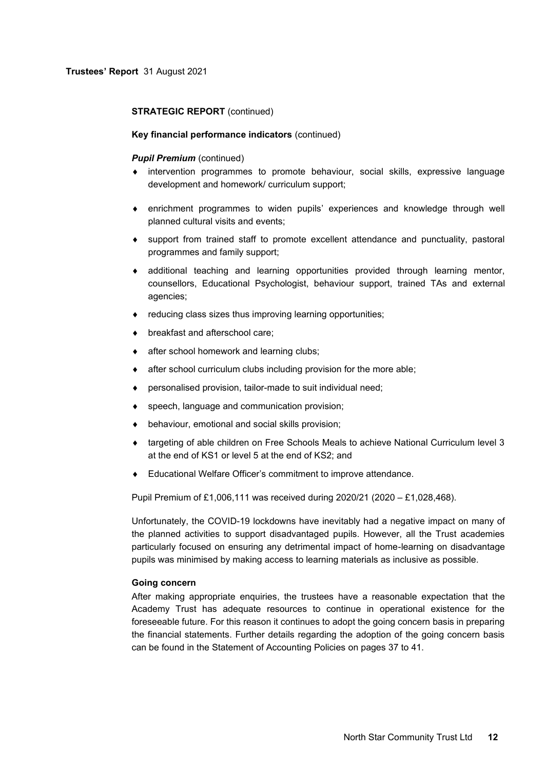## **Key financial performance indicators** (continued)

#### *Pupil Premium (continued)*

- intervention programmes to promote behaviour, social skills, expressive language development and homework/ curriculum support;
- enrichment programmes to widen pupils' experiences and knowledge through well planned cultural visits and events;
- support from trained staff to promote excellent attendance and punctuality, pastoral programmes and family support;
- additional teaching and learning opportunities provided through learning mentor, counsellors, Educational Psychologist, behaviour support, trained TAs and external agencies;
- reducing class sizes thus improving learning opportunities;
- **•** breakfast and afterschool care;
- after school homework and learning clubs;
- **after school curriculum clubs including provision for the more able;**
- personalised provision, tailor-made to suit individual need;
- speech, language and communication provision;
- behaviour, emotional and social skills provision;
- ◆ targeting of able children on Free Schools Meals to achieve National Curriculum level 3 at the end of KS1 or level 5 at the end of KS2; and
- Educational Welfare Officer's commitment to improve attendance.

Pupil Premium of £1,006,111 was received during 2020/21 (2020 – £1,028,468).

Unfortunately, the COVID-19 lockdowns have inevitably had a negative impact on many of the planned activities to support disadvantaged pupils. However, all the Trust academies particularly focused on ensuring any detrimental impact of home-learning on disadvantage pupils was minimised by making access to learning materials as inclusive as possible.

## **Going concern**

After making appropriate enquiries, the trustees have a reasonable expectation that the Academy Trust has adequate resources to continue in operational existence for the foreseeable future. For this reason it continues to adopt the going concern basis in preparing the financial statements. Further details regarding the adoption of the going concern basis can be found in the Statement of Accounting Policies on pages 37 to 41.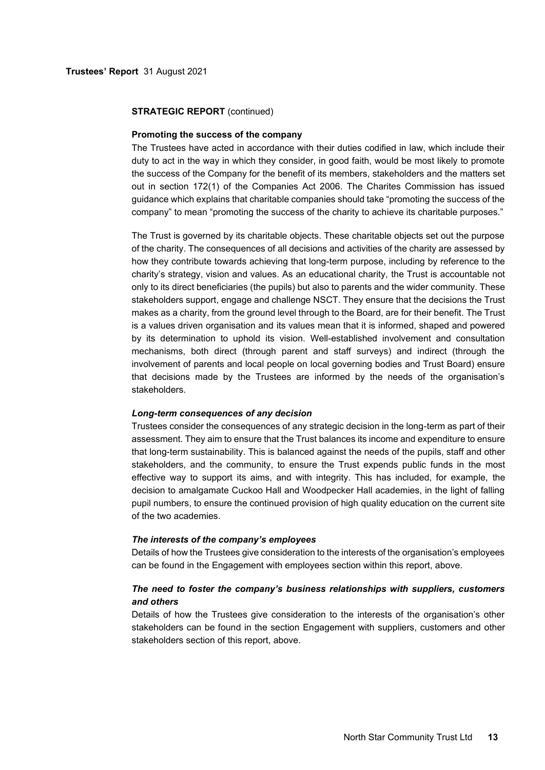#### **Promoting the success of the company**

The Trustees have acted in accordance with their duties codified in law, which include their duty to act in the way in which they consider, in good faith, would be most likely to promote the success of the Company for the benefit of its members, stakeholders and the matters set out in section 172(1) of the Companies Act 2006. The Charites Commission has issued guidance which explains that charitable companies should take "promoting the success of the company" to mean "promoting the success of the charity to achieve its charitable purposes."

The Trust is governed by its charitable objects. These charitable objects set out the purpose of the charity. The consequences of all decisions and activities of the charity are assessed by how they contribute towards achieving that long-term purpose, including by reference to the charity's strategy, vision and values. As an educational charity, the Trust is accountable not only to its direct beneficiaries (the pupils) but also to parents and the wider community. These stakeholders support, engage and challenge NSCT. They ensure that the decisions the Trust makes as a charity, from the ground level through to the Board, are for their benefit. The Trust is a values driven organisation and its values mean that it is informed, shaped and powered by its determination to uphold its vision. Well-established involvement and consultation mechanisms, both direct (through parent and staff surveys) and indirect (through the involvement of parents and local people on local governing bodies and Trust Board) ensure that decisions made by the Trustees are informed by the needs of the organisation's stakeholders.

#### *Long-term consequences of any decision*

Trustees consider the consequences of any strategic decision in the long-term as part of their assessment. They aim to ensure that the Trust balances its income and expenditure to ensure that long-term sustainability. This is balanced against the needs of the pupils, staff and other stakeholders, and the community, to ensure the Trust expends public funds in the most effective way to support its aims, and with integrity. This has included, for example, the decision to amalgamate Cuckoo Hall and Woodpecker Hall academies, in the light of falling pupil numbers, to ensure the continued provision of high quality education on the current site of the two academies.

#### *The interests of the company's employees*

Details of how the Trustees give consideration to the interests of the organisation's employees can be found in the Engagement with employees section within this report, above.

# *The need to foster the company's business relationships with suppliers, customers and others*

Details of how the Trustees give consideration to the interests of the organisation's other stakeholders can be found in the section Engagement with suppliers, customers and other stakeholders section of this report, above.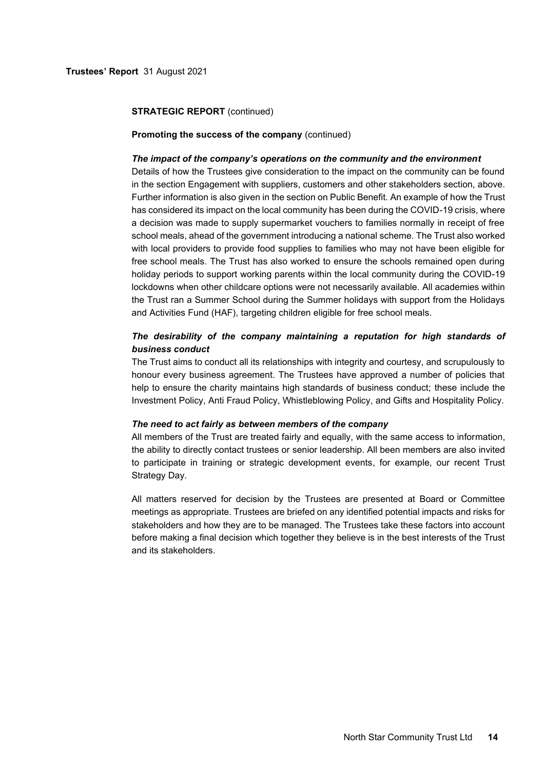#### **Promoting the success of the company** (continued)

#### *The impact of the company's operations on the community and the environment*

Details of how the Trustees give consideration to the impact on the community can be found in the section Engagement with suppliers, customers and other stakeholders section, above. Further information is also given in the section on Public Benefit. An example of how the Trust has considered its impact on the local community has been during the COVID-19 crisis, where a decision was made to supply supermarket vouchers to families normally in receipt of free school meals, ahead of the government introducing a national scheme. The Trust also worked with local providers to provide food supplies to families who may not have been eligible for free school meals. The Trust has also worked to ensure the schools remained open during holiday periods to support working parents within the local community during the COVID-19 lockdowns when other childcare options were not necessarily available. All academies within the Trust ran a Summer School during the Summer holidays with support from the Holidays and Activities Fund (HAF), targeting children eligible for free school meals.

# *The desirability of the company maintaining a reputation for high standards of business conduct*

The Trust aims to conduct all its relationships with integrity and courtesy, and scrupulously to honour every business agreement. The Trustees have approved a number of policies that help to ensure the charity maintains high standards of business conduct; these include the Investment Policy, Anti Fraud Policy, Whistleblowing Policy, and Gifts and Hospitality Policy.

#### *The need to act fairly as between members of the company*

All members of the Trust are treated fairly and equally, with the same access to information, the ability to directly contact trustees or senior leadership. All been members are also invited to participate in training or strategic development events, for example, our recent Trust Strategy Day.

All matters reserved for decision by the Trustees are presented at Board or Committee meetings as appropriate. Trustees are briefed on any identified potential impacts and risks for stakeholders and how they are to be managed. The Trustees take these factors into account before making a final decision which together they believe is in the best interests of the Trust and its stakeholders.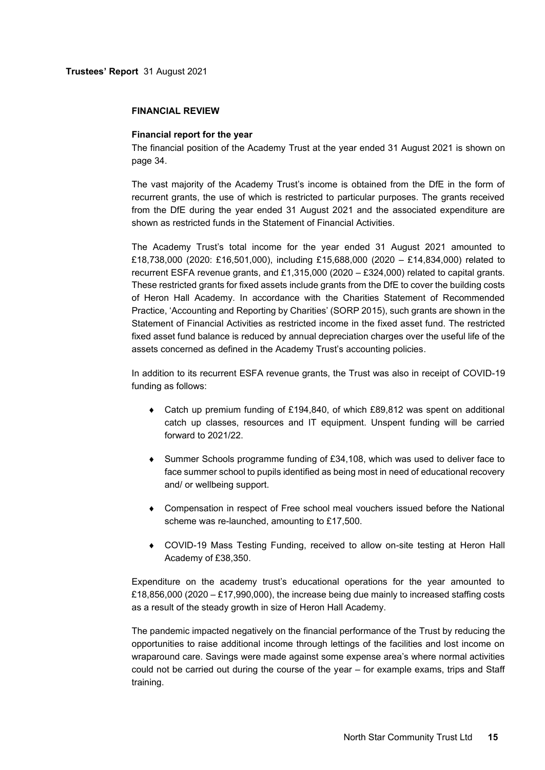#### **FINANCIAL REVIEW**

#### **Financial report for the year**

The financial position of the Academy Trust at the year ended 31 August 2021 is shown on page 34.

The vast majority of the Academy Trust's income is obtained from the DfE in the form of recurrent grants, the use of which is restricted to particular purposes. The grants received from the DfE during the year ended 31 August 2021 and the associated expenditure are shown as restricted funds in the Statement of Financial Activities.

The Academy Trust's total income for the year ended 31 August 2021 amounted to £18,738,000 (2020: £16,501,000), including £15,688,000 (2020 – £14,834,000) related to recurrent ESFA revenue grants, and £1,315,000 (2020 – £324,000) related to capital grants. These restricted grants for fixed assets include grants from the DfE to cover the building costs of Heron Hall Academy. In accordance with the Charities Statement of Recommended Practice, 'Accounting and Reporting by Charities' (SORP 2015), such grants are shown in the Statement of Financial Activities as restricted income in the fixed asset fund. The restricted fixed asset fund balance is reduced by annual depreciation charges over the useful life of the assets concerned as defined in the Academy Trust's accounting policies.

In addition to its recurrent ESFA revenue grants, the Trust was also in receipt of COVID-19 funding as follows:

- Catch up premium funding of £194,840, of which £89,812 was spent on additional catch up classes, resources and IT equipment. Unspent funding will be carried forward to 2021/22.
- Summer Schools programme funding of £34,108, which was used to deliver face to face summer school to pupils identified as being most in need of educational recovery and/ or wellbeing support.
- Compensation in respect of Free school meal vouchers issued before the National scheme was re-launched, amounting to £17,500.
- COVID-19 Mass Testing Funding, received to allow on-site testing at Heron Hall Academy of £38,350.

Expenditure on the academy trust's educational operations for the year amounted to £18,856,000 (2020 – £17,990,000), the increase being due mainly to increased staffing costs as a result of the steady growth in size of Heron Hall Academy.

The pandemic impacted negatively on the financial performance of the Trust by reducing the opportunities to raise additional income through lettings of the facilities and lost income on wraparound care. Savings were made against some expense area's where normal activities could not be carried out during the course of the year – for example exams, trips and Staff training.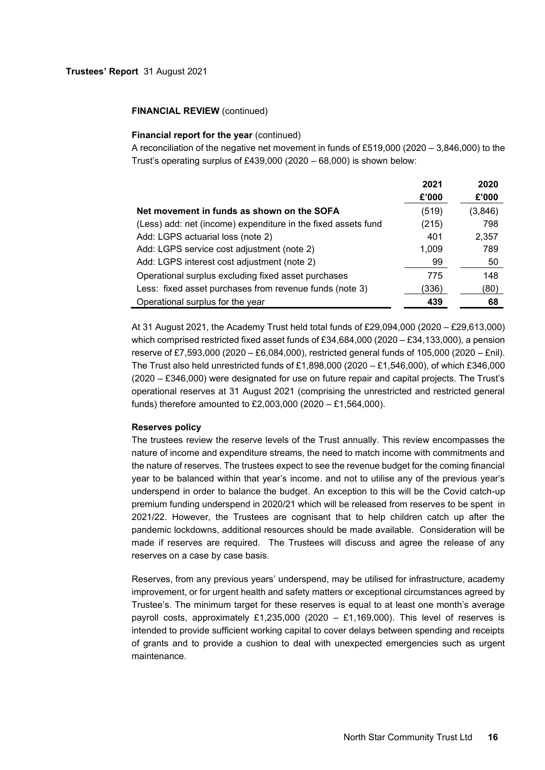## **FINANCIAL REVIEW (continued)**

## **Financial report for the year (continued)**

A reconciliation of the negative net movement in funds of £519,000 (2020 – 3,846,000) to the Trust's operating surplus of £439,000 (2020 – 68,000) is shown below:

|                                                               | 2021  | 2020    |
|---------------------------------------------------------------|-------|---------|
|                                                               | £'000 | £'000   |
| Net movement in funds as shown on the SOFA                    | (519) | (3,846) |
| (Less) add: net (income) expenditure in the fixed assets fund | (215) | 798     |
| Add: LGPS actuarial loss (note 2)                             | 401   | 2,357   |
| Add: LGPS service cost adjustment (note 2)                    | 1,009 | 789     |
| Add: LGPS interest cost adjustment (note 2)                   | 99    | 50      |
| Operational surplus excluding fixed asset purchases           | 775   | 148     |
| Less: fixed asset purchases from revenue funds (note 3)       | 336)  | (80)    |
| Operational surplus for the year                              | 439   | 68      |

At 31 August 2021, the Academy Trust held total funds of £29,094,000 (2020 – £29,613,000) which comprised restricted fixed asset funds of £34,684,000 (2020 – £34,133,000), a pension reserve of £7,593,000 (2020 – £6,084,000), restricted general funds of 105,000 (2020 – £nil). The Trust also held unrestricted funds of £1,898,000 (2020 – £1,546,000), of which £346,000 (2020 – £346,000) were designated for use on future repair and capital projects. The Trust's operational reserves at 31 August 2021 (comprising the unrestricted and restricted general funds) therefore amounted to £2,003,000 (2020 – £1,564,000).

### **Reserves policy**

The trustees review the reserve levels of the Trust annually. This review encompasses the nature of income and expenditure streams, the need to match income with commitments and the nature of reserves. The trustees expect to see the revenue budget for the coming financial year to be balanced within that year's income. and not to utilise any of the previous year's underspend in order to balance the budget. An exception to this will be the Covid catch-up premium funding underspend in 2020/21 which will be released from reserves to be spent in 2021/22. However, the Trustees are cognisant that to help children catch up after the pandemic lockdowns, additional resources should be made available. Consideration will be made if reserves are required. The Trustees will discuss and agree the release of any reserves on a case by case basis.

Reserves, from any previous years' underspend, may be utilised for infrastructure, academy improvement, or for urgent health and safety matters or exceptional circumstances agreed by Trustee's. The minimum target for these reserves is equal to at least one month's average payroll costs, approximately £1,235,000 (2020 – £1,169,000). This level of reserves is intended to provide sufficient working capital to cover delays between spending and receipts of grants and to provide a cushion to deal with unexpected emergencies such as urgent maintenance.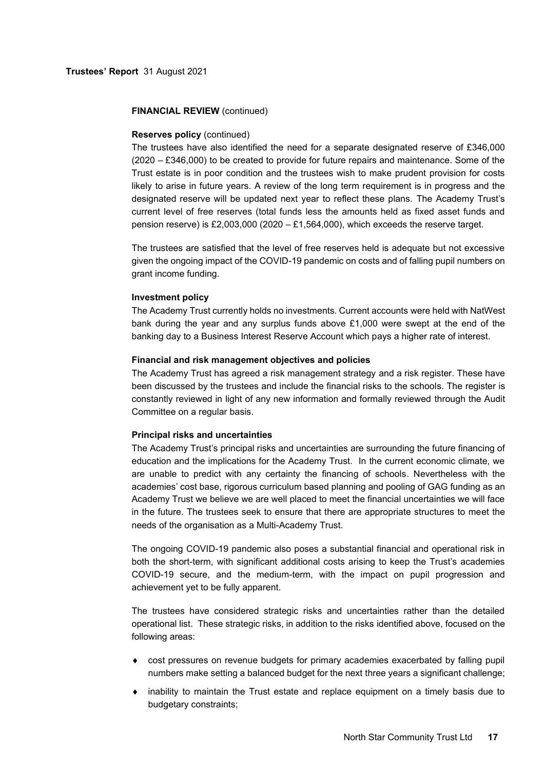## **FINANCIAL REVIEW** (continued)

## **Reserves policy** (continued)

The trustees have also identified the need for a separate designated reserve of £346,000 (2020 – £346,000) to be created to provide for future repairs and maintenance. Some of the Trust estate is in poor condition and the trustees wish to make prudent provision for costs likely to arise in future years. A review of the long term requirement is in progress and the designated reserve will be updated next year to reflect these plans. The Academy Trust's current level of free reserves (total funds less the amounts held as fixed asset funds and pension reserve) is £2,003,000 (2020 – £1,564,000), which exceeds the reserve target.

The trustees are satisfied that the level of free reserves held is adequate but not excessive given the ongoing impact of the COVID-19 pandemic on costs and of falling pupil numbers on grant income funding.

## **Investment policy**

The Academy Trust currently holds no investments. Current accounts were held with NatWest bank during the year and any surplus funds above  $£1,000$  were swept at the end of the banking day to a Business Interest Reserve Account which pays a higher rate of interest.

## **Financial and risk management objectives and policies**

The Academy Trust has agreed a risk management strategy and a risk register. These have been discussed by the trustees and include the financial risks to the schools. The register is constantly reviewed in light of any new information and formally reviewed through the Audit Committee on a regular basis.

### **Principal risks and uncertainties**

The Academy Trust's principal risks and uncertainties are surrounding the future financing of education and the implications for the Academy Trust. In the current economic climate, we are unable to predict with any certainty the financing of schools. Nevertheless with the academies' cost base, rigorous curriculum based planning and pooling of GAG funding as an Academy Trust we believe we are well placed to meet the financial uncertainties we will face in the future. The trustees seek to ensure that there are appropriate structures to meet the needs of the organisation as a Multi-Academy Trust.

The ongoing COVID-19 pandemic also poses a substantial financial and operational risk in both the short-term, with significant additional costs arising to keep the Trust's academies COVID-19 secure, and the medium-term, with the impact on pupil progression and achievement yet to be fully apparent.

The trustees have considered strategic risks and uncertainties rather than the detailed operational list. These strategic risks, in addition to the risks identified above, focused on the following areas:

- cost pressures on revenue budgets for primary academies exacerbated by falling pupil numbers make setting a balanced budget for the next three years a significant challenge;
- $\bullet$  inability to maintain the Trust estate and replace equipment on a timely basis due to budgetary constraints;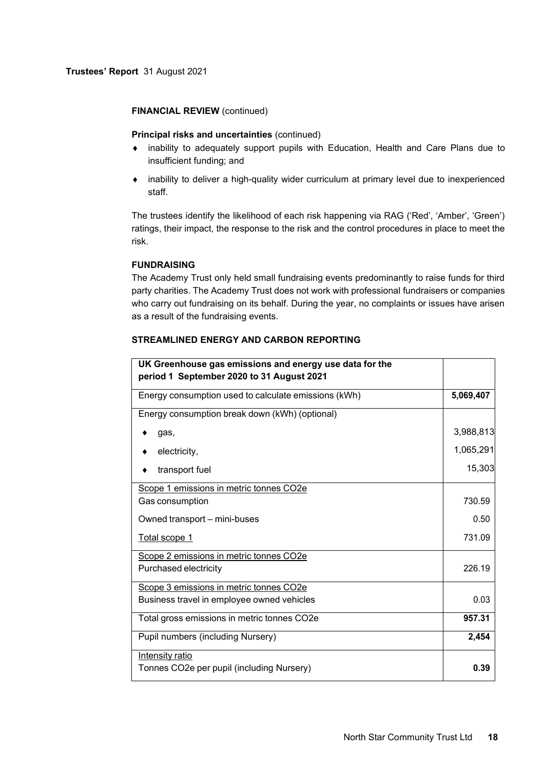## **FINANCIAL REVIEW** (continued)

# **Principal risks and uncertainties** (continued)

- inability to adequately support pupils with Education, Health and Care Plans due to insufficient funding; and
- inability to deliver a high-quality wider curriculum at primary level due to inexperienced staff.

The trustees identify the likelihood of each risk happening via RAG ('Red', 'Amber', 'Green') ratings, their impact, the response to the risk and the control procedures in place to meet the risk.

# **FUNDRAISING**

The Academy Trust only held small fundraising events predominantly to raise funds for third party charities. The Academy Trust does not work with professional fundraisers or companies who carry out fundraising on its behalf. During the year, no complaints or issues have arisen as a result of the fundraising events.

| UK Greenhouse gas emissions and energy use data for the<br>period 1 September 2020 to 31 August 2021 |           |
|------------------------------------------------------------------------------------------------------|-----------|
| Energy consumption used to calculate emissions (kWh)                                                 | 5,069,407 |
| Energy consumption break down (kWh) (optional)                                                       |           |
| gas,                                                                                                 | 3,988,813 |
| electricity,                                                                                         | 1,065,291 |
| transport fuel                                                                                       | 15,303    |
| Scope 1 emissions in metric tonnes CO2e                                                              |           |
| Gas consumption                                                                                      | 730.59    |
| Owned transport – mini-buses                                                                         | 0.50      |
| Total scope 1                                                                                        | 731.09    |
| Scope 2 emissions in metric tonnes CO2e                                                              |           |
| Purchased electricity                                                                                | 226.19    |
| Scope 3 emissions in metric tonnes CO2e                                                              |           |
| Business travel in employee owned vehicles                                                           | 0.03      |
| Total gross emissions in metric tonnes CO2e                                                          | 957.31    |
| Pupil numbers (including Nursery)                                                                    | 2,454     |
| Intensity ratio                                                                                      |           |
| Tonnes CO2e per pupil (including Nursery)                                                            | 0.39      |

# **STREAMLINED ENERGY AND CARBON REPORTING**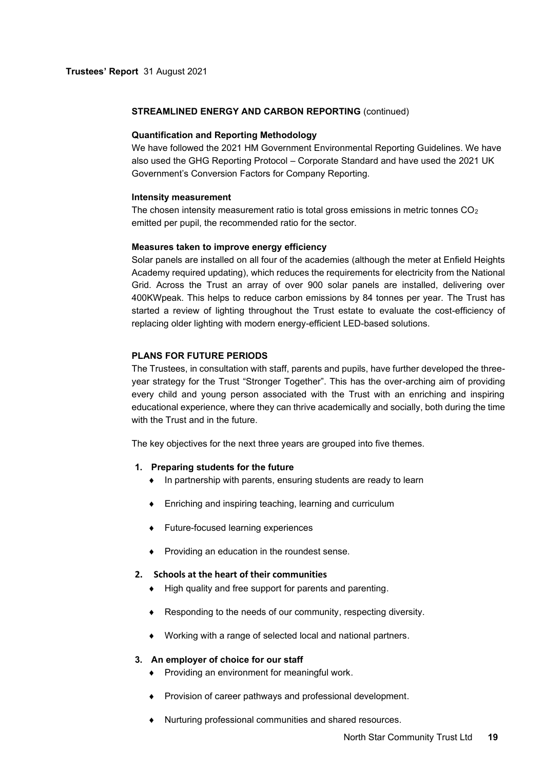# **STREAMLINED ENERGY AND CARBON REPORTING** (continued)

## **Quantification and Reporting Methodology**

We have followed the 2021 HM Government Environmental Reporting Guidelines. We have also used the GHG Reporting Protocol – Corporate Standard and have used the 2021 UK Government's Conversion Factors for Company Reporting.

## **Intensity measurement**

The chosen intensity measurement ratio is total gross emissions in metric tonnes  $CO<sub>2</sub>$ emitted per pupil, the recommended ratio for the sector.

## **Measures taken to improve energy efficiency**

Solar panels are installed on all four of the academies (although the meter at Enfield Heights Academy required updating), which reduces the requirements for electricity from the National Grid. Across the Trust an array of over 900 solar panels are installed, delivering over 400KWpeak. This helps to reduce carbon emissions by 84 tonnes per year. The Trust has started a review of lighting throughout the Trust estate to evaluate the cost-efficiency of replacing older lighting with modern energy-efficient LED-based solutions.

## **PLANS FOR FUTURE PERIODS**

The Trustees, in consultation with staff, parents and pupils, have further developed the threeyear strategy for the Trust "Stronger Together". This has the over-arching aim of providing every child and young person associated with the Trust with an enriching and inspiring educational experience, where they can thrive academically and socially, both during the time with the Trust and in the future.

The key objectives for the next three years are grouped into five themes.

# **1. Preparing students for the future**

- In partnership with parents, ensuring students are ready to learn
- Enriching and inspiring teaching, learning and curriculum
- Future-focused learning experiences
- Providing an education in the roundest sense.

# **2. Schools at the heart of their communities**

- $\bullet$  High quality and free support for parents and parenting.
- Responding to the needs of our community, respecting diversity.
- Working with a range of selected local and national partners.

# **3. An employer of choice for our staff**

- Providing an environment for meaningful work.
- Provision of career pathways and professional development.
- Nurturing professional communities and shared resources.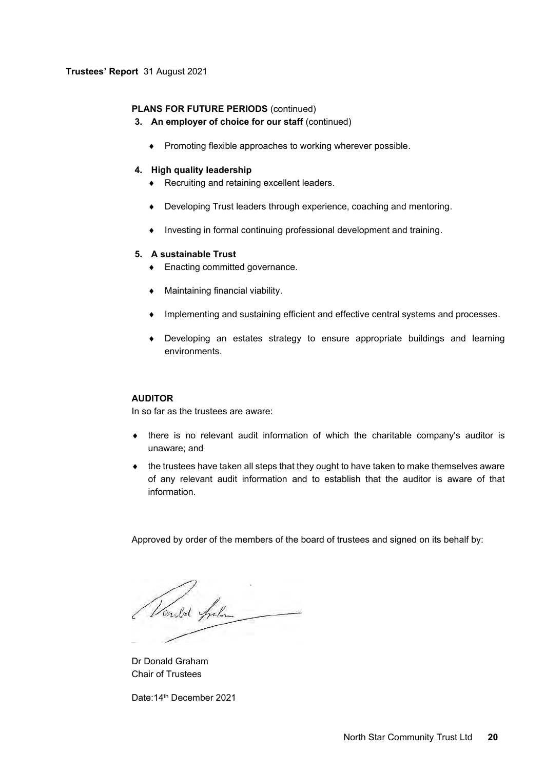# **PLANS FOR FUTURE PERIODS** (continued)

- **3. An employer of choice for our staff** (continued)
	- Promoting flexible approaches to working wherever possible.

# **4. High quality leadership**

- ◆ Recruiting and retaining excellent leaders.
- Developing Trust leaders through experience, coaching and mentoring.
- Investing in formal continuing professional development and training.

## **5. A sustainable Trust**

- ◆ Enacting committed governance.
- Maintaining financial viability.
- Implementing and sustaining efficient and effective central systems and processes.
- Developing an estates strategy to ensure appropriate buildings and learning environments.

# **AUDITOR**

In so far as the trustees are aware:

- there is no relevant audit information of which the charitable company's auditor is unaware; and
- $\bullet$  the trustees have taken all steps that they ought to have taken to make themselves aware of any relevant audit information and to establish that the auditor is aware of that information.

Approved by order of the members of the board of trustees and signed on its behalf by:

Vinstor Anham

Dr Donald Graham Chair of Trustees

Date:14th December 2021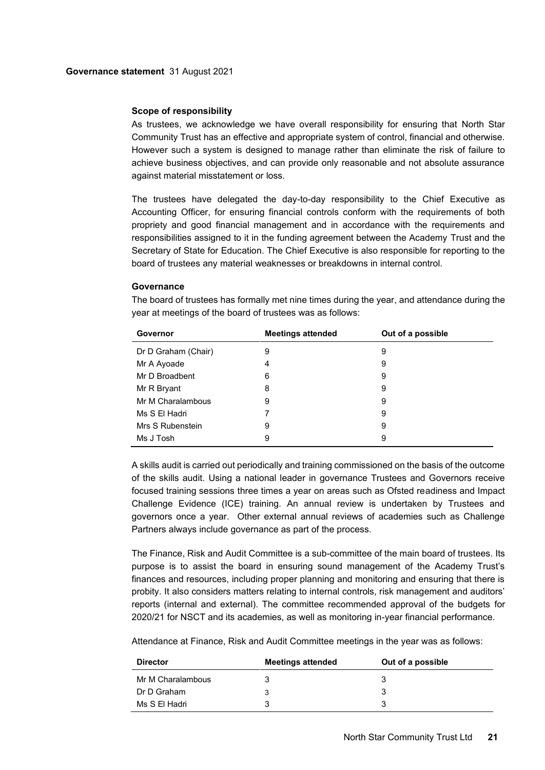## **Scope of responsibility**

As trustees, we acknowledge we have overall responsibility for ensuring that North Star Community Trust has an effective and appropriate system of control, financial and otherwise. However such a system is designed to manage rather than eliminate the risk of failure to achieve business objectives, and can provide only reasonable and not absolute assurance against material misstatement or loss.

The trustees have delegated the day-to-day responsibility to the Chief Executive as Accounting Officer, for ensuring financial controls conform with the requirements of both propriety and good financial management and in accordance with the requirements and responsibilities assigned to it in the funding agreement between the Academy Trust and the Secretary of State for Education. The Chief Executive is also responsible for reporting to the board of trustees any material weaknesses or breakdowns in internal control.

## **Governance**

| Governor            | <b>Meetings attended</b> | Out of a possible |
|---------------------|--------------------------|-------------------|
| Dr D Graham (Chair) | 9                        | 9                 |
| Mr A Ayoade         | 4                        | 9                 |
| Mr D Broadbent      | 6                        | 9                 |
| Mr R Bryant         | 8                        | 9                 |
| Mr M Charalambous   | 9                        | 9                 |
| Ms S El Hadri       |                          | 9                 |
| Mrs S Rubenstein    | 9                        | 9                 |
| Ms J Tosh           | 9                        | 9                 |

The board of trustees has formally met nine times during the year, and attendance during the year at meetings of the board of trustees was as follows:

A skills audit is carried out periodically and training commissioned on the basis of the outcome of the skills audit. Using a national leader in governance Trustees and Governors receive focused training sessions three times a year on areas such as Ofsted readiness and Impact Challenge Evidence (ICE) training. An annual review is undertaken by Trustees and governors once a year. Other external annual reviews of academies such as Challenge Partners always include governance as part of the process.

The Finance, Risk and Audit Committee is a sub-committee of the main board of trustees. Its purpose is to assist the board in ensuring sound management of the Academy Trust's finances and resources, including proper planning and monitoring and ensuring that there is probity. It also considers matters relating to internal controls, risk management and auditors' reports (internal and external). The committee recommended approval of the budgets for 2020/21 for NSCT and its academies, as well as monitoring in-year financial performance.

Attendance at Finance, Risk and Audit Committee meetings in the year was as follows:

| <b>Director</b>   | <b>Meetings attended</b> | Out of a possible |
|-------------------|--------------------------|-------------------|
| Mr M Charalambous |                          |                   |
| Dr D Graham       |                          |                   |
| Ms S El Hadri     |                          |                   |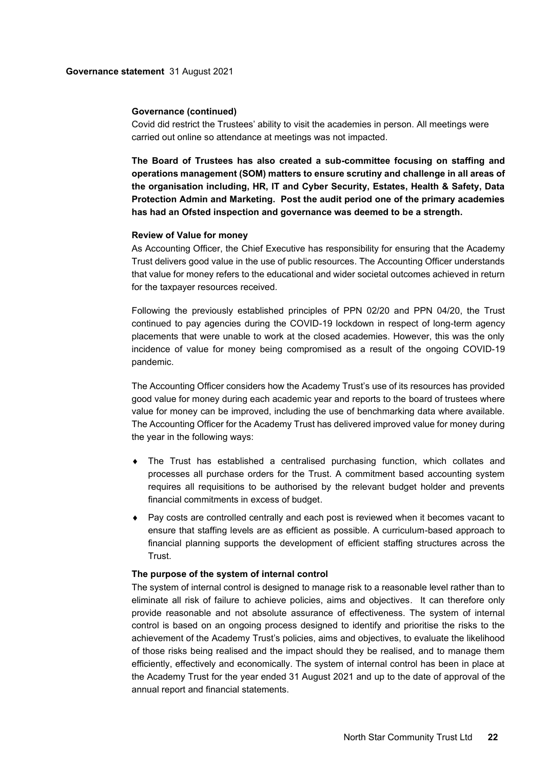#### **Governance (continued)**

Covid did restrict the Trustees' ability to visit the academies in person. All meetings were carried out online so attendance at meetings was not impacted.

**The Board of Trustees has also created a sub-committee focusing on staffing and operations management (SOM) matters to ensure scrutiny and challenge in all areas of the organisation including, HR, IT and Cyber Security, Estates, Health & Safety, Data Protection Admin and Marketing. Post the audit period one of the primary academies has had an Ofsted inspection and governance was deemed to be a strength.**

#### **Review of Value for money**

As Accounting Officer, the Chief Executive has responsibility for ensuring that the Academy Trust delivers good value in the use of public resources. The Accounting Officer understands that value for money refers to the educational and wider societal outcomes achieved in return for the taxpayer resources received.

Following the previously established principles of PPN 02/20 and PPN 04/20, the Trust continued to pay agencies during the COVID-19 lockdown in respect of long-term agency placements that were unable to work at the closed academies. However, this was the only incidence of value for money being compromised as a result of the ongoing COVID-19 pandemic.

The Accounting Officer considers how the Academy Trust's use of its resources has provided good value for money during each academic year and reports to the board of trustees where value for money can be improved, including the use of benchmarking data where available. The Accounting Officer for the Academy Trust has delivered improved value for money during the year in the following ways:

- The Trust has established a centralised purchasing function, which collates and processes all purchase orders for the Trust. A commitment based accounting system requires all requisitions to be authorised by the relevant budget holder and prevents financial commitments in excess of budget.
- Pay costs are controlled centrally and each post is reviewed when it becomes vacant to ensure that staffing levels are as efficient as possible. A curriculum-based approach to financial planning supports the development of efficient staffing structures across the Trust.

#### **The purpose of the system of internal control**

The system of internal control is designed to manage risk to a reasonable level rather than to eliminate all risk of failure to achieve policies, aims and objectives. It can therefore only provide reasonable and not absolute assurance of effectiveness. The system of internal control is based on an ongoing process designed to identify and prioritise the risks to the achievement of the Academy Trust's policies, aims and objectives, to evaluate the likelihood of those risks being realised and the impact should they be realised, and to manage them efficiently, effectively and economically. The system of internal control has been in place at the Academy Trust for the year ended 31 August 2021 and up to the date of approval of the annual report and financial statements.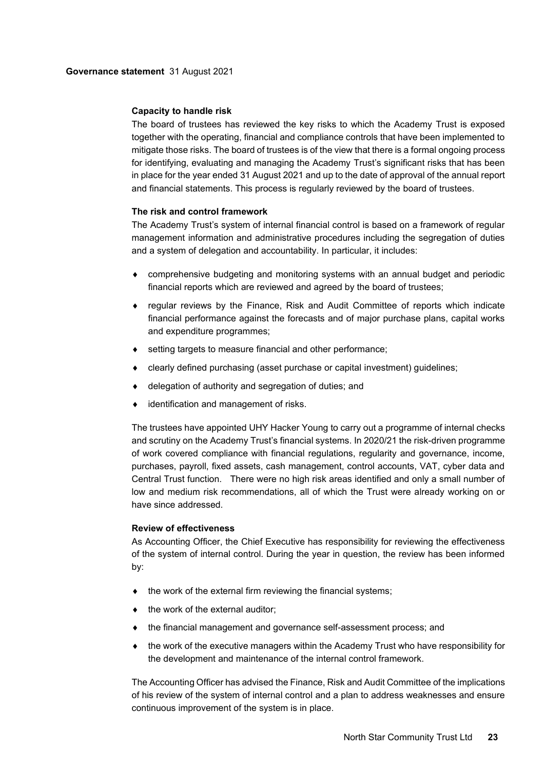## **Capacity to handle risk**

The board of trustees has reviewed the key risks to which the Academy Trust is exposed together with the operating, financial and compliance controls that have been implemented to mitigate those risks. The board of trustees is of the view that there is a formal ongoing process for identifying, evaluating and managing the Academy Trust's significant risks that has been in place for the year ended 31 August 2021 and up to the date of approval of the annual report and financial statements. This process is regularly reviewed by the board of trustees.

## **The risk and control framework**

The Academy Trust's system of internal financial control is based on a framework of regular management information and administrative procedures including the segregation of duties and a system of delegation and accountability. In particular, it includes:

- comprehensive budgeting and monitoring systems with an annual budget and periodic financial reports which are reviewed and agreed by the board of trustees;
- regular reviews by the Finance, Risk and Audit Committee of reports which indicate financial performance against the forecasts and of major purchase plans, capital works and expenditure programmes;
- ♦ setting targets to measure financial and other performance;
- clearly defined purchasing (asset purchase or capital investment) guidelines;
- delegation of authority and segregation of duties; and
- identification and management of risks.

The trustees have appointed UHY Hacker Young to carry out a programme of internal checks and scrutiny on the Academy Trust's financial systems. In 2020/21 the risk-driven programme of work covered compliance with financial regulations, regularity and governance, income, purchases, payroll, fixed assets, cash management, control accounts, VAT, cyber data and Central Trust function. There were no high risk areas identified and only a small number of low and medium risk recommendations, all of which the Trust were already working on or have since addressed.

### **Review of effectiveness**

As Accounting Officer, the Chief Executive has responsibility for reviewing the effectiveness of the system of internal control. During the year in question, the review has been informed by:

- $\bullet$  the work of the external firm reviewing the financial systems;
- the work of the external auditor;
- the financial management and governance self-assessment process; and
- the work of the executive managers within the Academy Trust who have responsibility for the development and maintenance of the internal control framework.

The Accounting Officer has advised the Finance, Risk and Audit Committee of the implications of his review of the system of internal control and a plan to address weaknesses and ensure continuous improvement of the system is in place.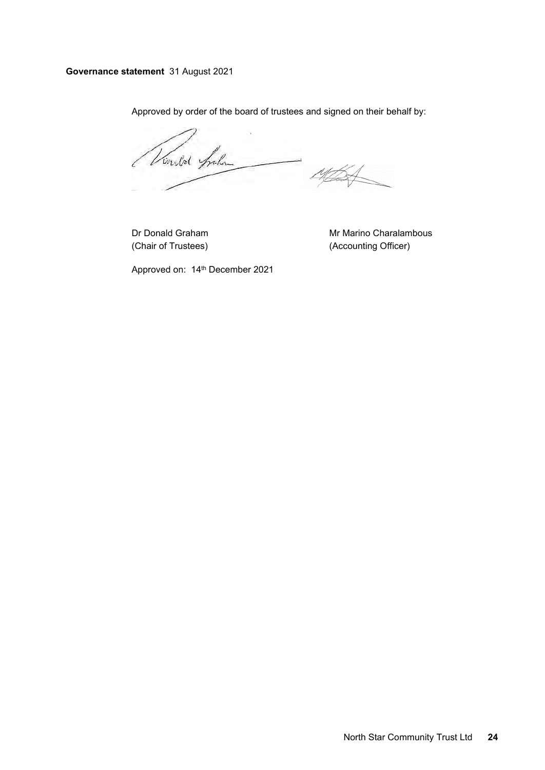# **Governance statement** 31 August 2021

Approved by order of the board of trustees and signed on their behalf by:

Vindol Spoken  $\frac{1}{4}$ 

Dr Donald Graham Mr Marino Charalambous (Chair of Trustees) (Accounting Officer)

Approved on: 14th December 2021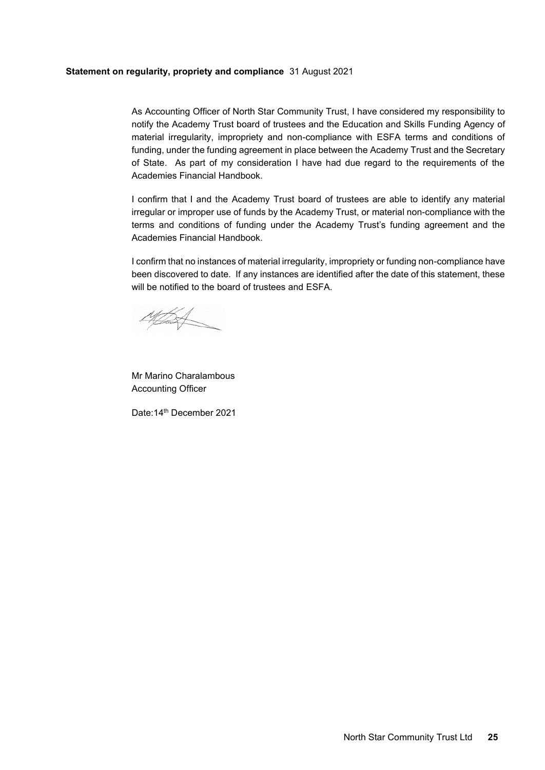## **Statement on regularity, propriety and compliance** 31 August 2021

As Accounting Officer of North Star Community Trust, I have considered my responsibility to notify the Academy Trust board of trustees and the Education and Skills Funding Agency of material irregularity, impropriety and non-compliance with ESFA terms and conditions of funding, under the funding agreement in place between the Academy Trust and the Secretary of State. As part of my consideration I have had due regard to the requirements of the Academies Financial Handbook.

I confirm that I and the Academy Trust board of trustees are able to identify any material irregular or improper use of funds by the Academy Trust, or material non-compliance with the terms and conditions of funding under the Academy Trust's funding agreement and the Academies Financial Handbook.

I confirm that no instances of material irregularity, impropriety or funding non-compliance have been discovered to date. If any instances are identified after the date of this statement, these will be notified to the board of trustees and ESFA.

**TALL** 

Mr Marino Charalambous Accounting Officer

Date:14th December 2021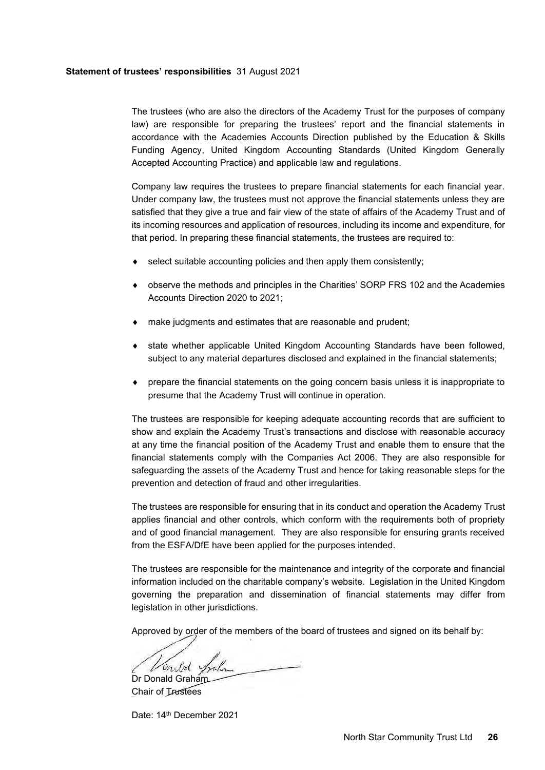#### **Statement of trustees' responsibilities** 31 August 2021

The trustees (who are also the directors of the Academy Trust for the purposes of company law) are responsible for preparing the trustees' report and the financial statements in accordance with the Academies Accounts Direction published by the Education & Skills Funding Agency, United Kingdom Accounting Standards (United Kingdom Generally Accepted Accounting Practice) and applicable law and regulations.

Company law requires the trustees to prepare financial statements for each financial year. Under company law, the trustees must not approve the financial statements unless they are satisfied that they give a true and fair view of the state of affairs of the Academy Trust and of its incoming resources and application of resources, including its income and expenditure, for that period. In preparing these financial statements, the trustees are required to:

- $\bullet$  select suitable accounting policies and then apply them consistently;
- observe the methods and principles in the Charities' SORP FRS 102 and the Academies Accounts Direction 2020 to 2021;
- make judgments and estimates that are reasonable and prudent;
- state whether applicable United Kingdom Accounting Standards have been followed, subject to any material departures disclosed and explained in the financial statements;
- prepare the financial statements on the going concern basis unless it is inappropriate to presume that the Academy Trust will continue in operation.

The trustees are responsible for keeping adequate accounting records that are sufficient to show and explain the Academy Trust's transactions and disclose with reasonable accuracy at any time the financial position of the Academy Trust and enable them to ensure that the financial statements comply with the Companies Act 2006. They are also responsible for safeguarding the assets of the Academy Trust and hence for taking reasonable steps for the prevention and detection of fraud and other irregularities.

The trustees are responsible for ensuring that in its conduct and operation the Academy Trust applies financial and other controls, which conform with the requirements both of propriety and of good financial management. They are also responsible for ensuring grants received from the ESFA/DfE have been applied for the purposes intended.

The trustees are responsible for the maintenance and integrity of the corporate and financial information included on the charitable company's website. Legislation in the United Kingdom governing the preparation and dissemination of financial statements may differ from legislation in other jurisdictions.

Approved by order of the members of the board of trustees and signed on its behalf by:

Vinkol Sychon

Chair of Trustees

Date: 14<sup>th</sup> December 2021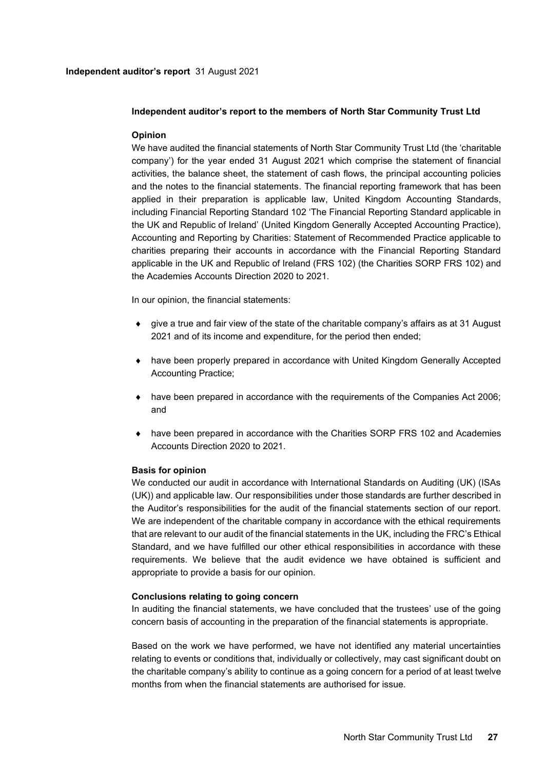# **Independent auditor's report to the members of North Star Community Trust Ltd**

# **Opinion**

We have audited the financial statements of North Star Community Trust Ltd (the 'charitable company') for the year ended 31 August 2021 which comprise the statement of financial activities, the balance sheet, the statement of cash flows, the principal accounting policies and the notes to the financial statements. The financial reporting framework that has been applied in their preparation is applicable law, United Kingdom Accounting Standards, including Financial Reporting Standard 102 'The Financial Reporting Standard applicable in the UK and Republic of Ireland' (United Kingdom Generally Accepted Accounting Practice), Accounting and Reporting by Charities: Statement of Recommended Practice applicable to charities preparing their accounts in accordance with the Financial Reporting Standard applicable in the UK and Republic of Ireland (FRS 102) (the Charities SORP FRS 102) and the Academies Accounts Direction 2020 to 2021.

In our opinion, the financial statements:

- give a true and fair view of the state of the charitable company's affairs as at 31 August 2021 and of its income and expenditure, for the period then ended;
- have been properly prepared in accordance with United Kingdom Generally Accepted Accounting Practice;
- have been prepared in accordance with the requirements of the Companies Act 2006; and
- have been prepared in accordance with the Charities SORP FRS 102 and Academies Accounts Direction 2020 to 2021.

### **Basis for opinion**

We conducted our audit in accordance with International Standards on Auditing (UK) (ISAs (UK)) and applicable law. Our responsibilities under those standards are further described in the Auditor's responsibilities for the audit of the financial statements section of our report. We are independent of the charitable company in accordance with the ethical requirements that are relevant to our audit of the financial statements in the UK, including the FRC's Ethical Standard, and we have fulfilled our other ethical responsibilities in accordance with these requirements. We believe that the audit evidence we have obtained is sufficient and appropriate to provide a basis for our opinion.

### **Conclusions relating to going concern**

In auditing the financial statements, we have concluded that the trustees' use of the going concern basis of accounting in the preparation of the financial statements is appropriate.

Based on the work we have performed, we have not identified any material uncertainties relating to events or conditions that, individually or collectively, may cast significant doubt on the charitable company's ability to continue as a going concern for a period of at least twelve months from when the financial statements are authorised for issue.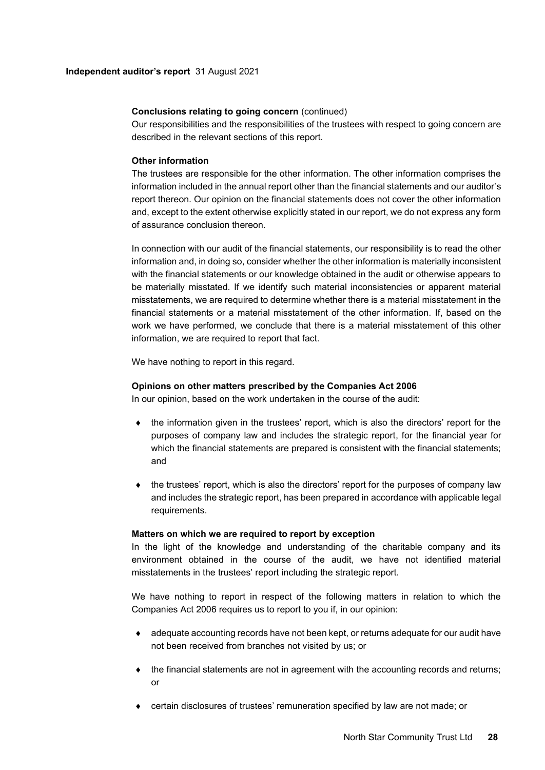# **Conclusions relating to going concern** (continued)

Our responsibilities and the responsibilities of the trustees with respect to going concern are described in the relevant sections of this report.

## **Other information**

The trustees are responsible for the other information. The other information comprises the information included in the annual report other than the financial statements and our auditor's report thereon. Our opinion on the financial statements does not cover the other information and, except to the extent otherwise explicitly stated in our report, we do not express any form of assurance conclusion thereon.

In connection with our audit of the financial statements, our responsibility is to read the other information and, in doing so, consider whether the other information is materially inconsistent with the financial statements or our knowledge obtained in the audit or otherwise appears to be materially misstated. If we identify such material inconsistencies or apparent material misstatements, we are required to determine whether there is a material misstatement in the financial statements or a material misstatement of the other information. If, based on the work we have performed, we conclude that there is a material misstatement of this other information, we are required to report that fact.

We have nothing to report in this regard.

## **Opinions on other matters prescribed by the Companies Act 2006**

In our opinion, based on the work undertaken in the course of the audit:

- the information given in the trustees' report, which is also the directors' report for the purposes of company law and includes the strategic report, for the financial year for which the financial statements are prepared is consistent with the financial statements; and
- the trustees' report, which is also the directors' report for the purposes of company law and includes the strategic report, has been prepared in accordance with applicable legal requirements.

### **Matters on which we are required to report by exception**

In the light of the knowledge and understanding of the charitable company and its environment obtained in the course of the audit, we have not identified material misstatements in the trustees' report including the strategic report.

We have nothing to report in respect of the following matters in relation to which the Companies Act 2006 requires us to report to you if, in our opinion:

- adequate accounting records have not been kept, or returns adequate for our audit have not been received from branches not visited by us; or
- the financial statements are not in agreement with the accounting records and returns; or
- certain disclosures of trustees' remuneration specified by law are not made; or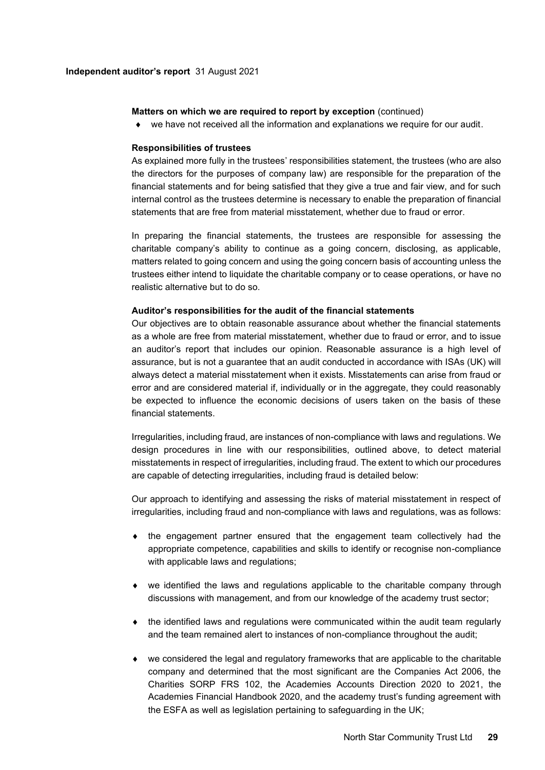#### **Independent auditor's report** 31 August 2021

## **Matters on which we are required to report by exception** (continued)

we have not received all the information and explanations we require for our audit.

#### **Responsibilities of trustees**

As explained more fully in the trustees' responsibilities statement, the trustees (who are also the directors for the purposes of company law) are responsible for the preparation of the financial statements and for being satisfied that they give a true and fair view, and for such internal control as the trustees determine is necessary to enable the preparation of financial statements that are free from material misstatement, whether due to fraud or error.

In preparing the financial statements, the trustees are responsible for assessing the charitable company's ability to continue as a going concern, disclosing, as applicable, matters related to going concern and using the going concern basis of accounting unless the trustees either intend to liquidate the charitable company or to cease operations, or have no realistic alternative but to do so.

#### **Auditor's responsibilities for the audit of the financial statements**

Our objectives are to obtain reasonable assurance about whether the financial statements as a whole are free from material misstatement, whether due to fraud or error, and to issue an auditor's report that includes our opinion. Reasonable assurance is a high level of assurance, but is not a guarantee that an audit conducted in accordance with ISAs (UK) will always detect a material misstatement when it exists. Misstatements can arise from fraud or error and are considered material if, individually or in the aggregate, they could reasonably be expected to influence the economic decisions of users taken on the basis of these financial statements.

Irregularities, including fraud, are instances of non-compliance with laws and regulations. We design procedures in line with our responsibilities, outlined above, to detect material misstatements in respect of irregularities, including fraud. The extent to which our procedures are capable of detecting irregularities, including fraud is detailed below:

Our approach to identifying and assessing the risks of material misstatement in respect of irregularities, including fraud and non-compliance with laws and regulations, was as follows:

- $\bullet$  the engagement partner ensured that the engagement team collectively had the appropriate competence, capabilities and skills to identify or recognise non-compliance with applicable laws and regulations;
- we identified the laws and regulations applicable to the charitable company through discussions with management, and from our knowledge of the academy trust sector;
- $\bullet$  the identified laws and regulations were communicated within the audit team regularly and the team remained alert to instances of non-compliance throughout the audit;
- we considered the legal and regulatory frameworks that are applicable to the charitable company and determined that the most significant are the Companies Act 2006, the Charities SORP FRS 102, the Academies Accounts Direction 2020 to 2021, the Academies Financial Handbook 2020, and the academy trust's funding agreement with the ESFA as well as legislation pertaining to safeguarding in the UK;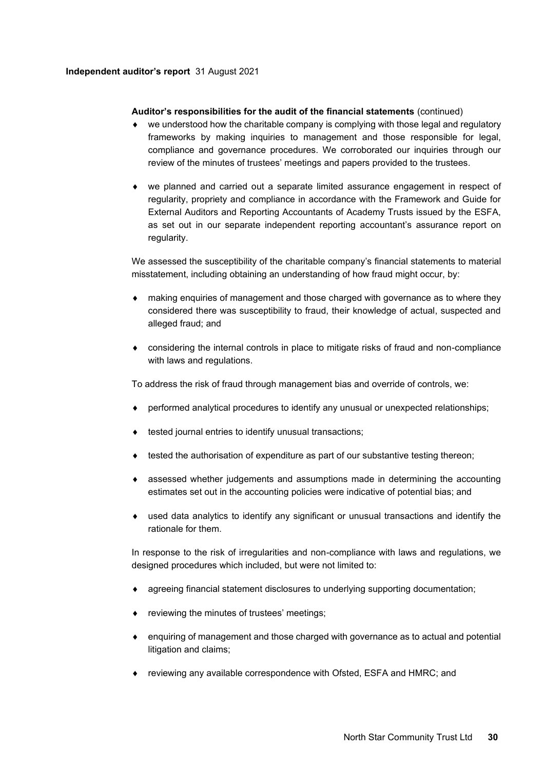## **Independent auditor's report** 31 August 2021

## **Auditor's responsibilities for the audit of the financial statements** (continued)

- we understood how the charitable company is complying with those legal and regulatory frameworks by making inquiries to management and those responsible for legal, compliance and governance procedures. We corroborated our inquiries through our review of the minutes of trustees' meetings and papers provided to the trustees.
- we planned and carried out a separate limited assurance engagement in respect of regularity, propriety and compliance in accordance with the Framework and Guide for External Auditors and Reporting Accountants of Academy Trusts issued by the ESFA, as set out in our separate independent reporting accountant's assurance report on regularity.

We assessed the susceptibility of the charitable company's financial statements to material misstatement, including obtaining an understanding of how fraud might occur, by:

- making enquiries of management and those charged with governance as to where they considered there was susceptibility to fraud, their knowledge of actual, suspected and alleged fraud; and
- considering the internal controls in place to mitigate risks of fraud and non-compliance with laws and regulations.

To address the risk of fraud through management bias and override of controls, we:

- performed analytical procedures to identify any unusual or unexpected relationships;
- tested journal entries to identify unusual transactions;
- $\bullet$  tested the authorisation of expenditure as part of our substantive testing thereon;
- assessed whether judgements and assumptions made in determining the accounting estimates set out in the accounting policies were indicative of potential bias; and
- used data analytics to identify any significant or unusual transactions and identify the rationale for them.

In response to the risk of irregularities and non-compliance with laws and regulations, we designed procedures which included, but were not limited to:

- agreeing financial statement disclosures to underlying supporting documentation;
- reviewing the minutes of trustees' meetings;
- enquiring of management and those charged with governance as to actual and potential litigation and claims;
- reviewing any available correspondence with Ofsted, ESFA and HMRC; and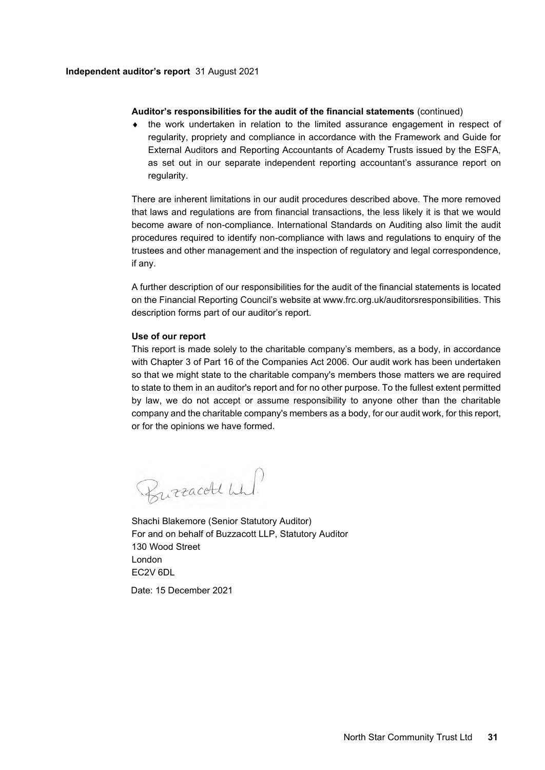## **Independent auditor's report** 31 August 2021

## **Auditor's responsibilities for the audit of the financial statements** (continued)

 the work undertaken in relation to the limited assurance engagement in respect of regularity, propriety and compliance in accordance with the Framework and Guide for External Auditors and Reporting Accountants of Academy Trusts issued by the ESFA, as set out in our separate independent reporting accountant's assurance report on regularity.

There are inherent limitations in our audit procedures described above. The more removed that laws and regulations are from financial transactions, the less likely it is that we would become aware of non-compliance. International Standards on Auditing also limit the audit procedures required to identify non-compliance with laws and regulations to enquiry of the trustees and other management and the inspection of regulatory and legal correspondence, if any.

A further description of our responsibilities for the audit of the financial statements is located on the Financial Reporting Council's website at www.frc.org.uk/auditorsresponsibilities. This description forms part of our auditor's report.

## **Use of our report**

This report is made solely to the charitable company's members, as a body, in accordance with Chapter 3 of Part 16 of the Companies Act 2006. Our audit work has been undertaken so that we might state to the charitable company's members those matters we are required to state to them in an auditor's report and for no other purpose. To the fullest extent permitted by law, we do not accept or assume responsibility to anyone other than the charitable company and the charitable company's members as a body, for our audit work, for this report, or for the opinions we have formed.

Burracett wh!

Shachi Blakemore (Senior Statutory Auditor) For and on behalf of Buzzacott LLP, Statutory Auditor 130 Wood Street London EC2V 6DL Date: 15 December 2021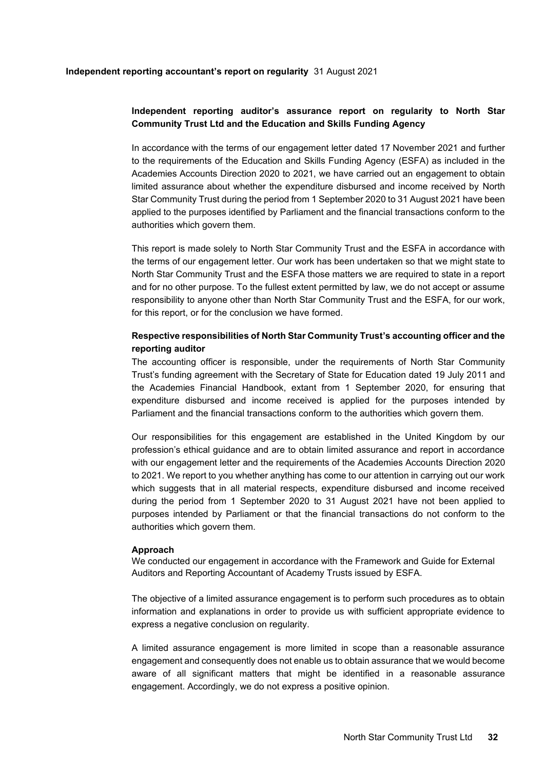# **Independent reporting auditor's assurance report on regularity to North Star Community Trust Ltd and the Education and Skills Funding Agency**

In accordance with the terms of our engagement letter dated 17 November 2021 and further to the requirements of the Education and Skills Funding Agency (ESFA) as included in the Academies Accounts Direction 2020 to 2021, we have carried out an engagement to obtain limited assurance about whether the expenditure disbursed and income received by North Star Community Trust during the period from 1 September 2020 to 31 August 2021 have been applied to the purposes identified by Parliament and the financial transactions conform to the authorities which govern them.

This report is made solely to North Star Community Trust and the ESFA in accordance with the terms of our engagement letter. Our work has been undertaken so that we might state to North Star Community Trust and the ESFA those matters we are required to state in a report and for no other purpose. To the fullest extent permitted by law, we do not accept or assume responsibility to anyone other than North Star Community Trust and the ESFA, for our work, for this report, or for the conclusion we have formed.

# **Respective responsibilities of North Star Community Trust's accounting officer and the reporting auditor**

The accounting officer is responsible, under the requirements of North Star Community Trust's funding agreement with the Secretary of State for Education dated 19 July 2011 and the Academies Financial Handbook, extant from 1 September 2020, for ensuring that expenditure disbursed and income received is applied for the purposes intended by Parliament and the financial transactions conform to the authorities which govern them.

Our responsibilities for this engagement are established in the United Kingdom by our profession's ethical guidance and are to obtain limited assurance and report in accordance with our engagement letter and the requirements of the Academies Accounts Direction 2020 to 2021. We report to you whether anything has come to our attention in carrying out our work which suggests that in all material respects, expenditure disbursed and income received during the period from 1 September 2020 to 31 August 2021 have not been applied to purposes intended by Parliament or that the financial transactions do not conform to the authorities which govern them.

### **Approach**

We conducted our engagement in accordance with the Framework and Guide for External Auditors and Reporting Accountant of Academy Trusts issued by ESFA.

The objective of a limited assurance engagement is to perform such procedures as to obtain information and explanations in order to provide us with sufficient appropriate evidence to express a negative conclusion on regularity.

A limited assurance engagement is more limited in scope than a reasonable assurance engagement and consequently does not enable us to obtain assurance that we would become aware of all significant matters that might be identified in a reasonable assurance engagement. Accordingly, we do not express a positive opinion.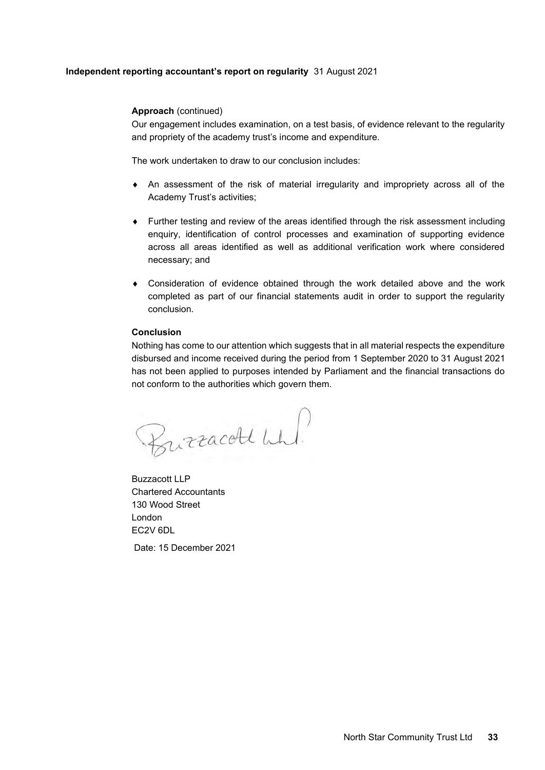## **Independent reporting accountant's report on regularity** 31 August 2021

## **Approach** (continued)

Our engagement includes examination, on a test basis, of evidence relevant to the regularity and propriety of the academy trust's income and expenditure.

The work undertaken to draw to our conclusion includes:

- An assessment of the risk of material irregularity and impropriety across all of the Academy Trust's activities;
- Further testing and review of the areas identified through the risk assessment including enquiry, identification of control processes and examination of supporting evidence across all areas identified as well as additional verification work where considered necessary; and
- Consideration of evidence obtained through the work detailed above and the work completed as part of our financial statements audit in order to support the regularity conclusion.

### **Conclusion**

Nothing has come to our attention which suggests that in all material respects the expenditure disbursed and income received during the period from 1 September 2020 to 31 August 2021 has not been applied to purposes intended by Parliament and the financial transactions do not conform to the authorities which govern them.

Burracold wh!

Buzzacott LLP Chartered Accountants 130 Wood Street London EC2V 6DL

Date: 15 December 2021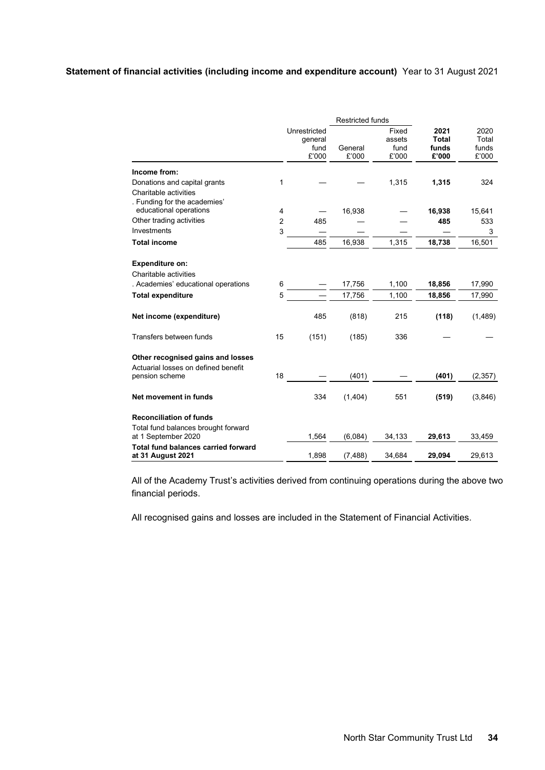# **Statement of financial activities (including income and expenditure account)** Year to 31 August 2021

|                                                                 | <b>Restricted funds</b> |                                          |                  |                                  |                                        |                                 |
|-----------------------------------------------------------------|-------------------------|------------------------------------------|------------------|----------------------------------|----------------------------------------|---------------------------------|
|                                                                 |                         | Unrestricted<br>qeneral<br>fund<br>£'000 | General<br>£'000 | Fixed<br>assets<br>fund<br>£'000 | 2021<br><b>Total</b><br>funds<br>£'000 | 2020<br>Total<br>funds<br>£'000 |
| Income from:                                                    |                         |                                          |                  |                                  |                                        |                                 |
| Donations and capital grants                                    | 1                       |                                          |                  | 1,315                            | 1,315                                  | 324                             |
| Charitable activities                                           |                         |                                          |                  |                                  |                                        |                                 |
| . Funding for the academies'                                    |                         |                                          |                  |                                  |                                        |                                 |
| educational operations                                          | 4                       |                                          | 16,938           |                                  | 16,938                                 | 15,641                          |
| Other trading activities                                        | $\overline{2}$          | 485                                      |                  |                                  | 485                                    | 533                             |
| Investments                                                     | 3                       |                                          |                  |                                  |                                        | 3                               |
| <b>Total income</b>                                             |                         | 485                                      | 16,938           | 1,315                            | 18,738                                 | 16,501                          |
|                                                                 |                         |                                          |                  |                                  |                                        |                                 |
| <b>Expenditure on:</b>                                          |                         |                                          |                  |                                  |                                        |                                 |
| Charitable activities                                           |                         |                                          |                  |                                  |                                        |                                 |
| . Academies' educational operations                             | 6                       |                                          | 17,756           | 1,100                            | 18,856                                 | 17,990                          |
| <b>Total expenditure</b>                                        | 5                       |                                          | 17,756           | 1,100                            | 18,856                                 | 17,990                          |
| Net income (expenditure)                                        |                         | 485                                      | (818)            | 215                              | (118)                                  | (1,489)                         |
| Transfers between funds                                         | 15                      | (151)                                    | (185)            | 336                              |                                        |                                 |
| Other recognised gains and losses                               |                         |                                          |                  |                                  |                                        |                                 |
| Actuarial losses on defined benefit<br>pension scheme           | 18                      |                                          | (401)            |                                  | (401)                                  | (2, 357)                        |
| Net movement in funds                                           |                         | 334                                      | (1,404)          | 551                              | (519)                                  | (3,846)                         |
| <b>Reconciliation of funds</b>                                  |                         |                                          |                  |                                  |                                        |                                 |
| Total fund balances brought forward<br>at 1 September 2020      |                         | 1,564                                    | (6,084)          | 34,133                           | 29,613                                 | 33,459                          |
| <b>Total fund balances carried forward</b><br>at 31 August 2021 |                         | 1,898                                    | (7, 488)         | 34,684                           | 29,094                                 | 29,613                          |

All of the Academy Trust's activities derived from continuing operations during the above two financial periods.

All recognised gains and losses are included in the Statement of Financial Activities.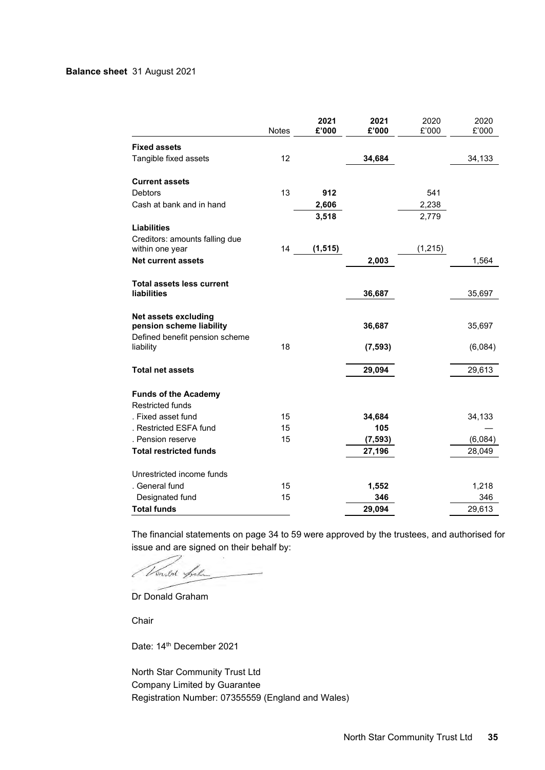# **Balance sheet** 31 August 2021

|                                                         | Notes | 2021<br>£'000 | 2021<br>£'000 | 2020<br>£'000 | 2020<br>£'000 |
|---------------------------------------------------------|-------|---------------|---------------|---------------|---------------|
| <b>Fixed assets</b>                                     |       |               |               |               |               |
| Tangible fixed assets                                   | 12    |               | 34,684        |               | 34,133        |
| <b>Current assets</b>                                   |       |               |               |               |               |
| <b>Debtors</b>                                          | 13    | 912           |               | 541           |               |
| Cash at bank and in hand                                |       | 2,606         |               | 2,238         |               |
|                                                         |       | 3,518         |               | 2,779         |               |
| <b>Liabilities</b>                                      |       |               |               |               |               |
| Creditors: amounts falling due                          |       |               |               |               |               |
| within one year                                         | 14    | (1, 515)      |               | (1, 215)      |               |
| <b>Net current assets</b>                               |       |               | 2,003         |               | 1,564         |
|                                                         |       |               |               |               |               |
| <b>Total assets less current</b><br>liabilities         |       |               | 36,687        |               | 35,697        |
|                                                         |       |               |               |               |               |
| <b>Net assets excluding</b><br>pension scheme liability |       |               | 36,687        |               | 35,697        |
| Defined benefit pension scheme<br>liability             | 18    |               | (7, 593)      |               | (6,084)       |
| <b>Total net assets</b>                                 |       |               | 29,094        |               | 29,613        |
| <b>Funds of the Academy</b><br><b>Restricted funds</b>  |       |               |               |               |               |
| . Fixed asset fund                                      | 15    |               | 34,684        |               | 34,133        |
| . Restricted ESFA fund                                  | 15    |               | 105           |               |               |
| . Pension reserve                                       | 15    |               | (7, 593)      |               | (6,084)       |
| <b>Total restricted funds</b>                           |       |               | 27,196        |               | 28,049        |
| Unrestricted income funds                               |       |               |               |               |               |
| . General fund                                          | 15    |               | 1,552         |               | 1,218         |
| Designated fund                                         | 15    |               | 346           |               | 346           |
| <b>Total funds</b>                                      |       |               | 29,094        |               | 29,613        |
|                                                         |       |               |               |               |               |

The financial statements on page 34 to 59 were approved by the trustees, and authorised for issue and are signed on their behalf by:

Vendor friha

Dr Donald Graham

Chair

Date: 14th December 2021

North Star Community Trust Ltd Company Limited by Guarantee Registration Number: 07355559 (England and Wales)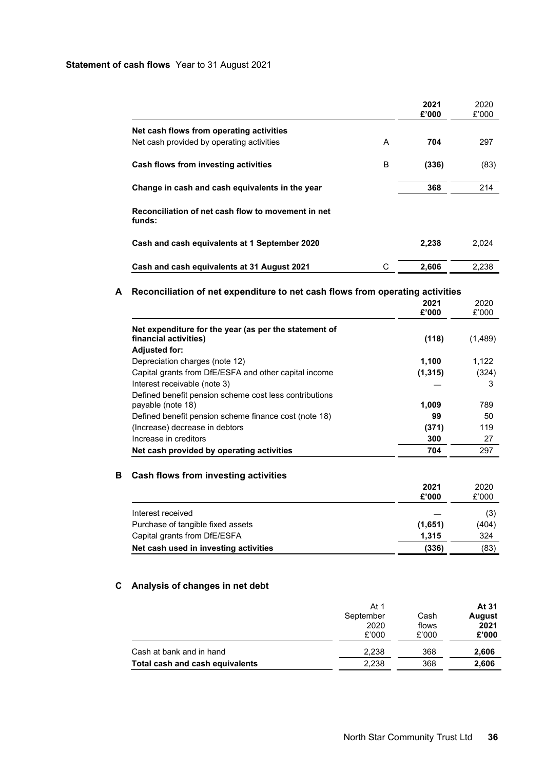## **Statement of cash flows** Year to 31 August 2021

|                                                              |   | 2021<br>£'000 | 2020<br>£'000 |
|--------------------------------------------------------------|---|---------------|---------------|
| Net cash flows from operating activities                     |   |               |               |
| Net cash provided by operating activities                    | A | 704           | 297           |
| Cash flows from investing activities                         | в | (336)         | (83)          |
| Change in cash and cash equivalents in the year              |   | 368           | 214           |
| Reconciliation of net cash flow to movement in net<br>funds: |   |               |               |
| Cash and cash equivalents at 1 September 2020                |   | 2,238         | 2,024         |
| Cash and cash equivalents at 31 August 2021                  | С | 2.606         | 2.238         |

# **A Reconciliation of net expenditure to net cash flows from operating activities**

|                                                                                | 2021<br>£'000 | 2020<br>£'000 |
|--------------------------------------------------------------------------------|---------------|---------------|
|                                                                                |               |               |
| Net expenditure for the year (as per the statement of<br>financial activities) | (118)         | (1,489)       |
| <b>Adjusted for:</b>                                                           |               |               |
| Depreciation charges (note 12)                                                 | 1,100         | 1.122         |
| Capital grants from DfE/ESFA and other capital income                          | (1, 315)      | (324)         |
| Interest receivable (note 3)                                                   |               | 3             |
| Defined benefit pension scheme cost less contributions                         |               |               |
| payable (note 18)                                                              | 1,009         | 789           |
| Defined benefit pension scheme finance cost (note 18)                          | 99            | 50            |
| (Increase) decrease in debtors                                                 | (371)         | 119           |
| Increase in creditors                                                          | 300           | 27            |
| Net cash provided by operating activities                                      | 704           | 297           |

# **B Cash flows from investing activities**

|                                       | 2021<br>£'000 | 2020<br>£'000 |
|---------------------------------------|---------------|---------------|
| Interest received                     |               | (3)           |
| Purchase of tangible fixed assets     | (1,651)       | (404)         |
| Capital grants from DfE/ESFA          | 1.315         | 324           |
| Net cash used in investing activities | (336)         | (83)          |

# **C Analysis of changes in net debt**

|                                 | At 1<br>September<br>2020<br>£'000 | Cash<br>flows<br>£'000 | At 31<br>August<br>2021<br>£'000 |
|---------------------------------|------------------------------------|------------------------|----------------------------------|
| Cash at bank and in hand        | 2.238                              | 368                    | 2,606                            |
| Total cash and cash equivalents | 2.238                              | 368                    | 2,606                            |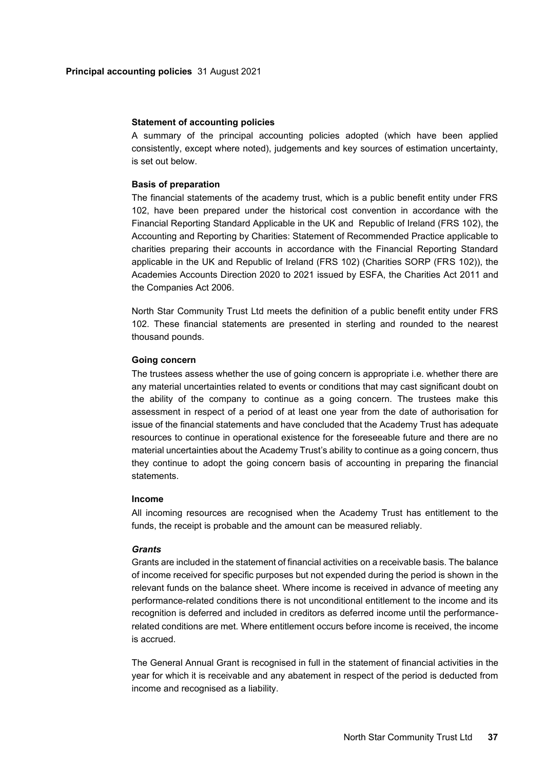#### **Statement of accounting policies**

A summary of the principal accounting policies adopted (which have been applied consistently, except where noted), judgements and key sources of estimation uncertainty, is set out below.

#### **Basis of preparation**

The financial statements of the academy trust, which is a public benefit entity under FRS 102, have been prepared under the historical cost convention in accordance with the Financial Reporting Standard Applicable in the UK and Republic of Ireland (FRS 102), the Accounting and Reporting by Charities: Statement of Recommended Practice applicable to charities preparing their accounts in accordance with the Financial Reporting Standard applicable in the UK and Republic of Ireland (FRS 102) (Charities SORP (FRS 102)), the Academies Accounts Direction 2020 to 2021 issued by ESFA, the Charities Act 2011 and the Companies Act 2006.

North Star Community Trust Ltd meets the definition of a public benefit entity under FRS 102. These financial statements are presented in sterling and rounded to the nearest thousand pounds.

## **Going concern**

The trustees assess whether the use of going concern is appropriate i.e. whether there are any material uncertainties related to events or conditions that may cast significant doubt on the ability of the company to continue as a going concern. The trustees make this assessment in respect of a period of at least one year from the date of authorisation for issue of the financial statements and have concluded that the Academy Trust has adequate resources to continue in operational existence for the foreseeable future and there are no material uncertainties about the Academy Trust's ability to continue as a going concern, thus they continue to adopt the going concern basis of accounting in preparing the financial statements.

#### **Income**

All incoming resources are recognised when the Academy Trust has entitlement to the funds, the receipt is probable and the amount can be measured reliably.

#### *Grants*

Grants are included in the statement of financial activities on a receivable basis. The balance of income received for specific purposes but not expended during the period is shown in the relevant funds on the balance sheet. Where income is received in advance of meeting any performance-related conditions there is not unconditional entitlement to the income and its recognition is deferred and included in creditors as deferred income until the performancerelated conditions are met. Where entitlement occurs before income is received, the income is accrued.

The General Annual Grant is recognised in full in the statement of financial activities in the year for which it is receivable and any abatement in respect of the period is deducted from income and recognised as a liability.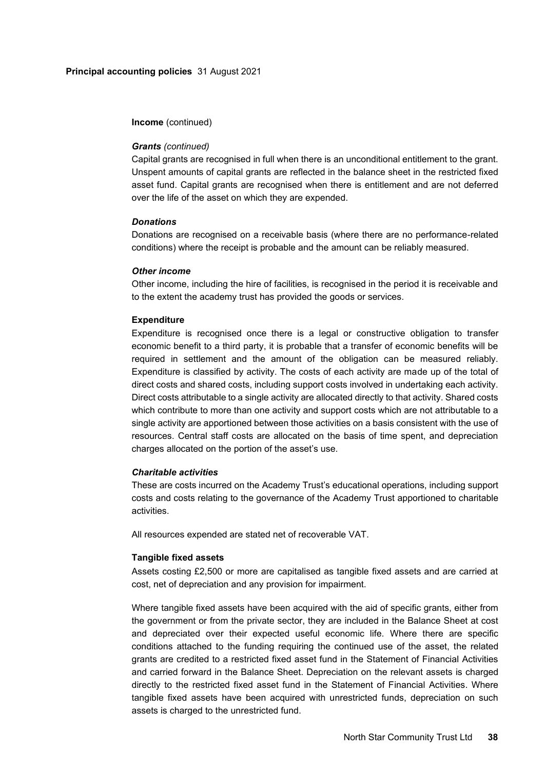**Income** (continued)

### *Grants (continued)*

Capital grants are recognised in full when there is an unconditional entitlement to the grant. Unspent amounts of capital grants are reflected in the balance sheet in the restricted fixed asset fund. Capital grants are recognised when there is entitlement and are not deferred over the life of the asset on which they are expended.

## *Donations*

Donations are recognised on a receivable basis (where there are no performance-related conditions) where the receipt is probable and the amount can be reliably measured.

#### *Other income*

Other income, including the hire of facilities, is recognised in the period it is receivable and to the extent the academy trust has provided the goods or services.

### **Expenditure**

Expenditure is recognised once there is a legal or constructive obligation to transfer economic benefit to a third party, it is probable that a transfer of economic benefits will be required in settlement and the amount of the obligation can be measured reliably. Expenditure is classified by activity. The costs of each activity are made up of the total of direct costs and shared costs, including support costs involved in undertaking each activity. Direct costs attributable to a single activity are allocated directly to that activity. Shared costs which contribute to more than one activity and support costs which are not attributable to a single activity are apportioned between those activities on a basis consistent with the use of resources. Central staff costs are allocated on the basis of time spent, and depreciation charges allocated on the portion of the asset's use.

## *Charitable activities*

These are costs incurred on the Academy Trust's educational operations, including support costs and costs relating to the governance of the Academy Trust apportioned to charitable activities.

All resources expended are stated net of recoverable VAT.

### **Tangible fixed assets**

Assets costing £2,500 or more are capitalised as tangible fixed assets and are carried at cost, net of depreciation and any provision for impairment.

Where tangible fixed assets have been acquired with the aid of specific grants, either from the government or from the private sector, they are included in the Balance Sheet at cost and depreciated over their expected useful economic life. Where there are specific conditions attached to the funding requiring the continued use of the asset, the related grants are credited to a restricted fixed asset fund in the Statement of Financial Activities and carried forward in the Balance Sheet. Depreciation on the relevant assets is charged directly to the restricted fixed asset fund in the Statement of Financial Activities. Where tangible fixed assets have been acquired with unrestricted funds, depreciation on such assets is charged to the unrestricted fund.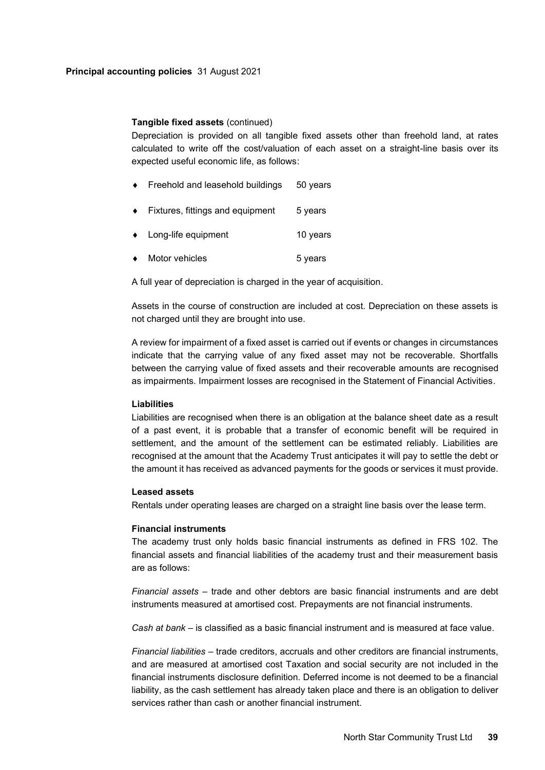# **Tangible fixed assets** (continued)

Depreciation is provided on all tangible fixed assets other than freehold land, at rates calculated to write off the cost/valuation of each asset on a straight-line basis over its expected useful economic life, as follows:

- Freehold and leasehold buildings 50 years
- Fixtures, fittings and equipment 5 years
- Long-life equipment 10 years
- Motor vehicles 6 years

A full year of depreciation is charged in the year of acquisition.

Assets in the course of construction are included at cost. Depreciation on these assets is not charged until they are brought into use.

A review for impairment of a fixed asset is carried out if events or changes in circumstances indicate that the carrying value of any fixed asset may not be recoverable. Shortfalls between the carrying value of fixed assets and their recoverable amounts are recognised as impairments. Impairment losses are recognised in the Statement of Financial Activities.

### **Liabilities**

Liabilities are recognised when there is an obligation at the balance sheet date as a result of a past event, it is probable that a transfer of economic benefit will be required in settlement, and the amount of the settlement can be estimated reliably. Liabilities are recognised at the amount that the Academy Trust anticipates it will pay to settle the debt or the amount it has received as advanced payments for the goods or services it must provide.

#### **Leased assets**

Rentals under operating leases are charged on a straight line basis over the lease term.

#### **Financial instruments**

The academy trust only holds basic financial instruments as defined in FRS 102. The financial assets and financial liabilities of the academy trust and their measurement basis are as follows:

*Financial assets* – trade and other debtors are basic financial instruments and are debt instruments measured at amortised cost. Prepayments are not financial instruments.

*Cash at bank* – is classified as a basic financial instrument and is measured at face value.

*Financial liabilities* – trade creditors, accruals and other creditors are financial instruments, and are measured at amortised cost Taxation and social security are not included in the financial instruments disclosure definition. Deferred income is not deemed to be a financial liability, as the cash settlement has already taken place and there is an obligation to deliver services rather than cash or another financial instrument.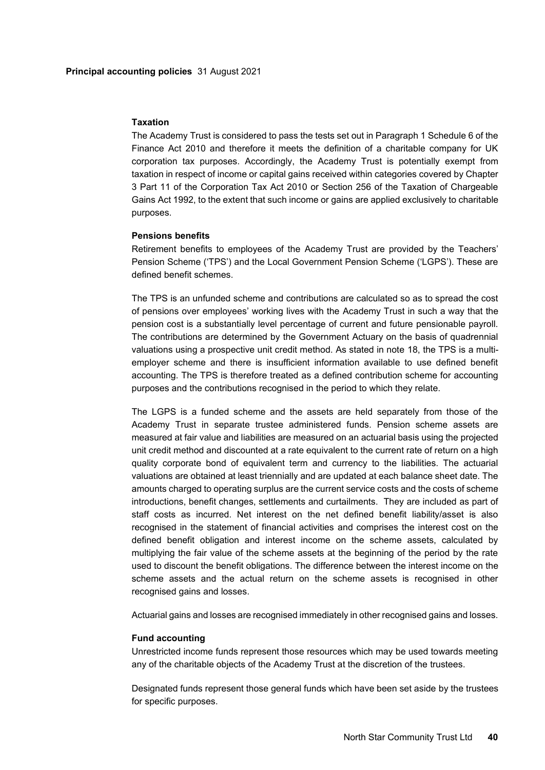#### **Taxation**

The Academy Trust is considered to pass the tests set out in Paragraph 1 Schedule 6 of the Finance Act 2010 and therefore it meets the definition of a charitable company for UK corporation tax purposes. Accordingly, the Academy Trust is potentially exempt from taxation in respect of income or capital gains received within categories covered by Chapter 3 Part 11 of the Corporation Tax Act 2010 or Section 256 of the Taxation of Chargeable Gains Act 1992, to the extent that such income or gains are applied exclusively to charitable purposes.

## **Pensions benefits**

Retirement benefits to employees of the Academy Trust are provided by the Teachers' Pension Scheme ('TPS') and the Local Government Pension Scheme ('LGPS'). These are defined benefit schemes.

The TPS is an unfunded scheme and contributions are calculated so as to spread the cost of pensions over employees' working lives with the Academy Trust in such a way that the pension cost is a substantially level percentage of current and future pensionable payroll. The contributions are determined by the Government Actuary on the basis of quadrennial valuations using a prospective unit credit method. As stated in note 18, the TPS is a multiemployer scheme and there is insufficient information available to use defined benefit accounting. The TPS is therefore treated as a defined contribution scheme for accounting purposes and the contributions recognised in the period to which they relate.

The LGPS is a funded scheme and the assets are held separately from those of the Academy Trust in separate trustee administered funds. Pension scheme assets are measured at fair value and liabilities are measured on an actuarial basis using the projected unit credit method and discounted at a rate equivalent to the current rate of return on a high quality corporate bond of equivalent term and currency to the liabilities. The actuarial valuations are obtained at least triennially and are updated at each balance sheet date. The amounts charged to operating surplus are the current service costs and the costs of scheme introductions, benefit changes, settlements and curtailments. They are included as part of staff costs as incurred. Net interest on the net defined benefit liability/asset is also recognised in the statement of financial activities and comprises the interest cost on the defined benefit obligation and interest income on the scheme assets, calculated by multiplying the fair value of the scheme assets at the beginning of the period by the rate used to discount the benefit obligations. The difference between the interest income on the scheme assets and the actual return on the scheme assets is recognised in other recognised gains and losses.

Actuarial gains and losses are recognised immediately in other recognised gains and losses.

#### **Fund accounting**

Unrestricted income funds represent those resources which may be used towards meeting any of the charitable objects of the Academy Trust at the discretion of the trustees.

Designated funds represent those general funds which have been set aside by the trustees for specific purposes.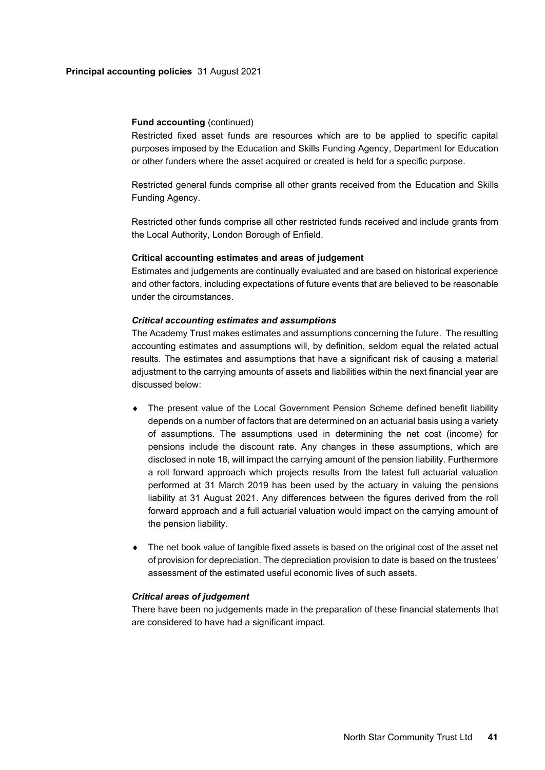#### **Principal accounting policies** 31 August 2021

#### **Fund accounting** (continued)

Restricted fixed asset funds are resources which are to be applied to specific capital purposes imposed by the Education and Skills Funding Agency, Department for Education or other funders where the asset acquired or created is held for a specific purpose.

Restricted general funds comprise all other grants received from the Education and Skills Funding Agency.

Restricted other funds comprise all other restricted funds received and include grants from the Local Authority, London Borough of Enfield.

# **Critical accounting estimates and areas of judgement**

Estimates and judgements are continually evaluated and are based on historical experience and other factors, including expectations of future events that are believed to be reasonable under the circumstances.

#### *Critical accounting estimates and assumptions*

The Academy Trust makes estimates and assumptions concerning the future. The resulting accounting estimates and assumptions will, by definition, seldom equal the related actual results. The estimates and assumptions that have a significant risk of causing a material adjustment to the carrying amounts of assets and liabilities within the next financial year are discussed below:

- The present value of the Local Government Pension Scheme defined benefit liability depends on a number of factors that are determined on an actuarial basis using a variety of assumptions. The assumptions used in determining the net cost (income) for pensions include the discount rate. Any changes in these assumptions, which are disclosed in note 18, will impact the carrying amount of the pension liability. Furthermore a roll forward approach which projects results from the latest full actuarial valuation performed at 31 March 2019 has been used by the actuary in valuing the pensions liability at 31 August 2021. Any differences between the figures derived from the roll forward approach and a full actuarial valuation would impact on the carrying amount of the pension liability.
- The net book value of tangible fixed assets is based on the original cost of the asset net of provision for depreciation. The depreciation provision to date is based on the trustees' assessment of the estimated useful economic lives of such assets.

## *Critical areas of judgement*

There have been no judgements made in the preparation of these financial statements that are considered to have had a significant impact.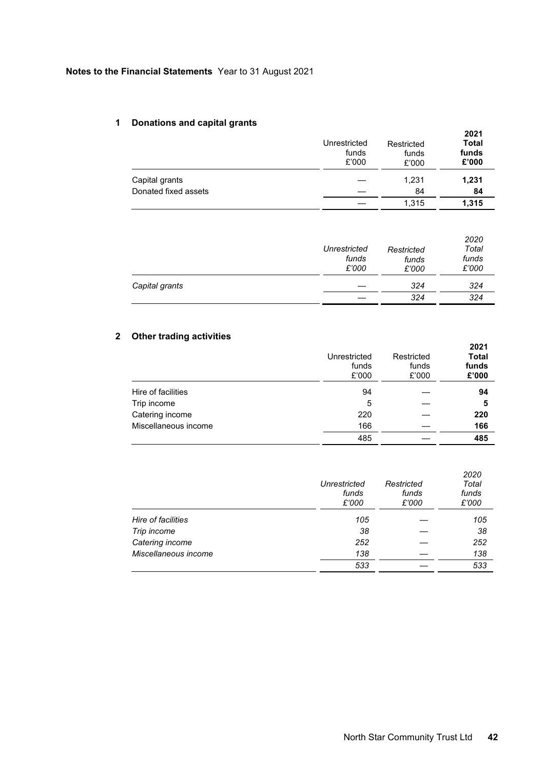# **Notes to the Financial Statements** Year to 31 August 2021

# **1 Donations and capital grants**

| . .                  | Unrestricted<br>funds<br>£'000 | Restricted<br>funds<br>£'000 | 2021<br><b>Total</b><br>funds<br>£'000 |
|----------------------|--------------------------------|------------------------------|----------------------------------------|
| Capital grants       |                                | 1,231                        | 1,231                                  |
| Donated fixed assets |                                | 84                           | 84                                     |
|                      |                                | 1.315                        | 1,315                                  |

|                | Unrestricted<br>funds<br>£'000 | Restricted<br>funds<br>£'000 | 2020<br>Total<br>funds<br>£'000 |
|----------------|--------------------------------|------------------------------|---------------------------------|
| Capital grants |                                | 324                          | 324                             |
|                |                                | 324                          | 324                             |

# **2 Other trading activities**

|                      | Unrestricted<br>funds<br>£'000 | Restricted<br>funds<br>£'000 | 2021<br><b>Total</b><br>funds<br>£'000 |
|----------------------|--------------------------------|------------------------------|----------------------------------------|
| Hire of facilities   | 94                             |                              | 94                                     |
| Trip income          | 5                              |                              | 5                                      |
| Catering income      | 220                            |                              | 220                                    |
| Miscellaneous income | 166                            |                              | 166                                    |
|                      | 485                            |                              | 485                                    |

|                      | Unrestricted<br>funds<br>£'000 | Restricted<br>funds<br>£'000 | 2020<br>Total<br>funds<br>£'000 |
|----------------------|--------------------------------|------------------------------|---------------------------------|
| Hire of facilities   | 105                            |                              | 105                             |
| Trip income          | 38                             |                              | 38                              |
| Catering income      | 252                            |                              | 252                             |
| Miscellaneous income | 138                            |                              | 138                             |
|                      | 533                            |                              | 533                             |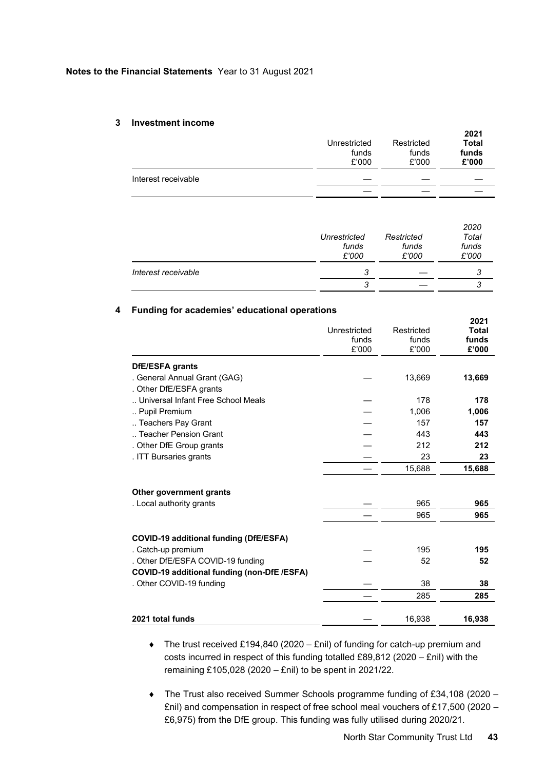#### **Notes to the Financial Statements** Year to 31 August 2021

#### **3 Investment income**

|                     | Unrestricted<br>funds<br>£'000 | Restricted<br>funds<br>£'000 | 2021<br>Total<br>funds<br>£'000 |
|---------------------|--------------------------------|------------------------------|---------------------------------|
| Interest receivable |                                |                              |                                 |
|                     |                                |                              |                                 |

|                     | Unrestricted<br>funds<br>£'000 | Restricted<br>funds<br>£'000 | 2020<br>Total<br>funds<br>£'000 |
|---------------------|--------------------------------|------------------------------|---------------------------------|
| Interest receivable | 3                              |                              |                                 |
|                     | 3                              |                              |                                 |

## **4 Funding for academies' educational operations**

|                                             | Unrestricted<br>funds<br>£'000 | Restricted<br>funds<br>£'000 | 2021<br><b>Total</b><br>funds<br>£'000 |
|---------------------------------------------|--------------------------------|------------------------------|----------------------------------------|
| DfE/ESFA grants                             |                                |                              |                                        |
| . General Annual Grant (GAG)                |                                | 13,669                       | 13,669                                 |
| . Other DfE/ESFA grants                     |                                |                              |                                        |
| Universal Infant Free School Meals          |                                | 178                          | 178                                    |
| Pupil Premium                               |                                | 1,006                        | 1,006                                  |
| Teachers Pay Grant                          |                                | 157                          | 157                                    |
| Teacher Pension Grant                       |                                | 443                          | 443                                    |
| . Other DfE Group grants                    |                                | 212                          | 212                                    |
| . ITT Bursaries grants                      |                                | 23                           | 23                                     |
|                                             |                                | 15,688                       | 15,688                                 |
| Other government grants                     |                                |                              |                                        |
| . Local authority grants                    |                                | 965                          | 965                                    |
|                                             |                                | 965                          | 965                                    |
| COVID-19 additional funding (DfE/ESFA)      |                                |                              |                                        |
| . Catch-up premium                          |                                | 195                          | 195                                    |
| . Other DfE/ESFA COVID-19 funding           |                                | 52                           | 52                                     |
| COVID-19 additional funding (non-DfE /ESFA) |                                |                              |                                        |
| . Other COVID-19 funding                    |                                | 38                           | 38                                     |
|                                             |                                | 285                          | 285                                    |
| 2021 total funds                            |                                | 16,938                       | 16,938                                 |

- The trust received £194,840 (2020 £nil) of funding for catch-up premium and costs incurred in respect of this funding totalled £89,812 (2020 – £nil) with the remaining £105,028 (2020 – £nil) to be spent in 2021/22.
- The Trust also received Summer Schools programme funding of £34,108 (2020 £nil) and compensation in respect of free school meal vouchers of £17,500 (2020 – £6,975) from the DfE group. This funding was fully utilised during 2020/21.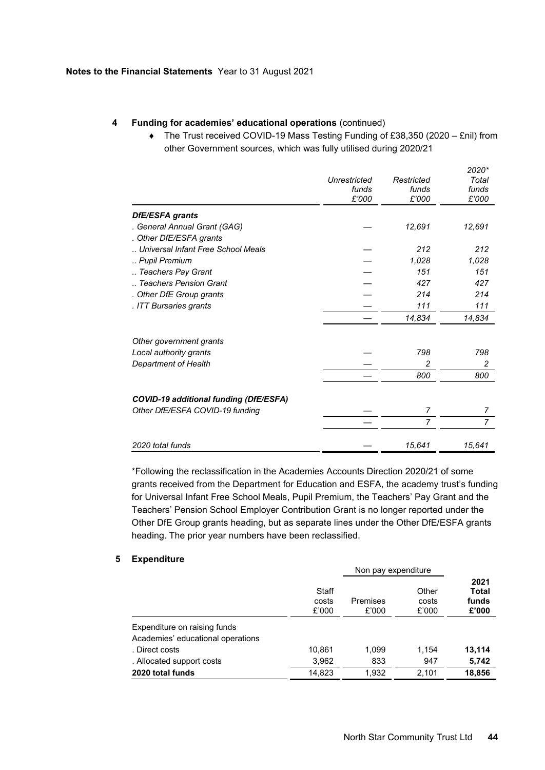# **4 Funding for academies' educational operations** (continued)

 The Trust received COVID-19 Mass Testing Funding of £38,350 (2020 – £nil) from other Government sources, which was fully utilised during 2020/21

|                                               | Unrestricted<br>funds<br>£'000 | Restricted<br>funds<br>£'000 | 2020*<br>Total<br>funds<br>£'000 |
|-----------------------------------------------|--------------------------------|------------------------------|----------------------------------|
| DfE/ESFA grants                               |                                |                              |                                  |
| . General Annual Grant (GAG)                  |                                | 12,691                       | 12,691                           |
| . Other DfE/ESFA grants                       |                                |                              |                                  |
| Universal Infant Free School Meals            |                                | 212                          | 212                              |
| Pupil Premium                                 |                                | 1,028                        | 1,028                            |
| Teachers Pay Grant                            |                                | 151                          | 151                              |
| Teachers Pension Grant                        |                                | 427                          | 427                              |
| . Other DfE Group grants                      |                                | 214                          | 214                              |
| . ITT Bursaries grants                        |                                | 111                          | 111                              |
|                                               |                                | 14,834                       | 14,834                           |
| Other government grants                       |                                |                              |                                  |
| Local authority grants                        |                                | 798                          | 798                              |
| Department of Health                          |                                | 2                            | 2                                |
|                                               |                                | 800                          | 800                              |
| <b>COVID-19 additional funding (DfE/ESFA)</b> |                                |                              |                                  |
| Other DfE/ESFA COVID-19 funding               |                                | 7                            | 7                                |
|                                               |                                | 7                            | $\overline{7}$                   |
|                                               |                                |                              |                                  |
| 2020 total funds                              |                                | 15,641                       | 15,641                           |

\*Following the reclassification in the Academies Accounts Direction 2020/21 of some grants received from the Department for Education and ESFA, the academy trust's funding for Universal Infant Free School Meals, Pupil Premium, the Teachers' Pay Grant and the Teachers' Pension School Employer Contribution Grant is no longer reported under the Other DfE Group grants heading, but as separate lines under the Other DfE/ESFA grants heading. The prior year numbers have been reclassified.

### **5 Expenditure**

|                                   |                         | Non pay expenditure |                         |                                 |
|-----------------------------------|-------------------------|---------------------|-------------------------|---------------------------------|
|                                   | Staff<br>costs<br>£'000 | Premises<br>£'000   | Other<br>costs<br>£'000 | 2021<br>Total<br>funds<br>£'000 |
| Expenditure on raising funds      |                         |                     |                         |                                 |
| Academies' educational operations |                         |                     |                         |                                 |
| . Direct costs                    | 10,861                  | 1,099               | 1,154                   | 13,114                          |
| . Allocated support costs         | 3,962                   | 833                 | 947                     | 5,742                           |
| 2020 total funds                  | 14.823                  | 1,932               | 2,101                   | 18,856                          |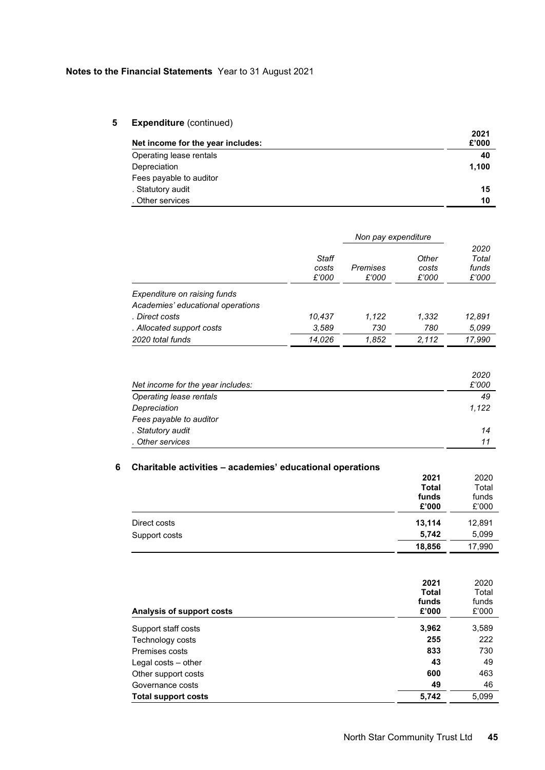# **5 Expenditure** (continued)

| Net income for the year includes: | 2021<br>£'000 |
|-----------------------------------|---------------|
| Operating lease rentals           | 40            |
| Depreciation                      | 1.100         |
| Fees payable to auditor           |               |
| . Statutory audit                 | 15            |
| . Other services                  | 10            |

|                                                                   | Non pay expenditure     |                   |                         |                                 |
|-------------------------------------------------------------------|-------------------------|-------------------|-------------------------|---------------------------------|
|                                                                   | Staff<br>costs<br>£'000 | Premises<br>£'000 | Other<br>costs<br>£'000 | 2020<br>Total<br>funds<br>£'000 |
| Expenditure on raising funds<br>Academies' educational operations |                         |                   |                         |                                 |
| . Direct costs                                                    | 10.437                  | 1,122             | 1,332                   | 12.891                          |
| . Allocated support costs                                         | 3.589                   | 730               | 780                     | 5.099                           |
| 2020 total funds                                                  | 14.026                  | 1,852             | 2.112                   | 17.990                          |

| Net income for the year includes: | 2020<br>£'000 |
|-----------------------------------|---------------|
| Operating lease rentals           | 49            |
| Depreciation                      | 1,122         |
| Fees payable to auditor           |               |
| . Statutory audit                 | 14            |
| . Other services                  | 11            |

# **6 Charitable activities – academies' educational operations**

|               | 2021         | 2020   |
|---------------|--------------|--------|
|               | <b>Total</b> | Total  |
|               | funds        | funds  |
|               | £'000        | £'000  |
| Direct costs  | 13,114       | 12,891 |
| Support costs | 5,742        | 5,099  |
|               | 18,856       | 17,990 |

| Analysis of support costs  | 2021<br><b>Total</b><br>funds<br>£'000 | 2020<br>Total<br>funds<br>£'000 |
|----------------------------|----------------------------------------|---------------------------------|
| Support staff costs        | 3,962                                  | 3,589                           |
| Technology costs           | 255                                    | 222                             |
| Premises costs             | 833                                    | 730                             |
| Legal costs $-$ other      | 43                                     | 49                              |
| Other support costs        | 600                                    | 463                             |
| Governance costs           | 49                                     | 46                              |
| <b>Total support costs</b> | 5,742                                  | 5.099                           |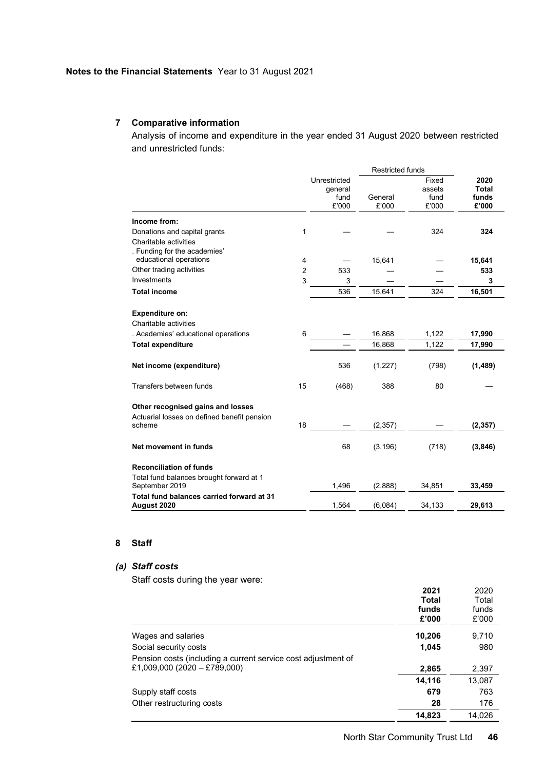# **7 Comparative information**

Analysis of income and expenditure in the year ended 31 August 2020 between restricted and unrestricted funds:

|                                                            |                |                                          | <b>Restricted funds</b> |                                  |                                        |
|------------------------------------------------------------|----------------|------------------------------------------|-------------------------|----------------------------------|----------------------------------------|
|                                                            |                | Unrestricted<br>general<br>fund<br>£'000 | General<br>£'000        | Fixed<br>assets<br>fund<br>£'000 | 2020<br><b>Total</b><br>funds<br>£'000 |
| Income from:                                               |                |                                          |                         |                                  |                                        |
| Donations and capital grants                               | 1              |                                          |                         | 324                              | 324                                    |
| Charitable activities                                      |                |                                          |                         |                                  |                                        |
| . Funding for the academies'                               |                |                                          |                         |                                  |                                        |
| educational operations                                     | 4              |                                          | 15,641                  |                                  | 15,641                                 |
| Other trading activities                                   | $\overline{2}$ | 533                                      |                         |                                  | 533                                    |
| Investments                                                | 3              | 3                                        |                         |                                  | 3                                      |
| <b>Total income</b>                                        |                | 536                                      | 15,641                  | 324                              | 16,501                                 |
|                                                            |                |                                          |                         |                                  |                                        |
| <b>Expenditure on:</b>                                     |                |                                          |                         |                                  |                                        |
| Charitable activities                                      |                |                                          |                         |                                  |                                        |
| . Academies' educational operations                        | 6              |                                          | 16,868                  | 1,122                            | 17,990                                 |
| <b>Total expenditure</b>                                   |                |                                          | 16,868                  | 1,122                            | 17,990                                 |
|                                                            |                |                                          |                         |                                  |                                        |
| Net income (expenditure)                                   |                | 536                                      | (1,227)                 | (798)                            | (1, 489)                               |
|                                                            |                |                                          |                         |                                  |                                        |
| Transfers between funds                                    | 15             | (468)                                    | 388                     | 80                               |                                        |
|                                                            |                |                                          |                         |                                  |                                        |
| Other recognised gains and losses                          |                |                                          |                         |                                  |                                        |
| Actuarial losses on defined benefit pension                |                |                                          |                         |                                  |                                        |
| scheme                                                     | 18             |                                          | (2, 357)                |                                  | (2, 357)                               |
|                                                            |                |                                          |                         |                                  |                                        |
| Net movement in funds                                      |                | 68                                       | (3, 196)                | (718)                            | (3,846)                                |
|                                                            |                |                                          |                         |                                  |                                        |
| <b>Reconciliation of funds</b>                             |                |                                          |                         |                                  |                                        |
| Total fund balances brought forward at 1<br>September 2019 |                | 1,496                                    | (2,888)                 | 34,851                           | 33,459                                 |
| Total fund balances carried forward at 31<br>August 2020   |                | 1,564                                    | (6,084)                 | 34,133                           | 29,613                                 |
|                                                            |                |                                          |                         |                                  |                                        |

# **8 Staff**

# *(a) Staff costs*

Staff costs during the year were:

|                                                               | 2021         | 2020   |
|---------------------------------------------------------------|--------------|--------|
|                                                               | <b>Total</b> | Total  |
|                                                               | funds        | funds  |
|                                                               | £'000        | £'000  |
| Wages and salaries                                            | 10,206       | 9,710  |
| Social security costs                                         | 1,045        | 980    |
| Pension costs (including a current service cost adjustment of |              |        |
| £1,009,000 (2020 - £789,000)                                  | 2,865        | 2,397  |
|                                                               | 14,116       | 13,087 |
| Supply staff costs                                            | 679          | 763    |
| Other restructuring costs                                     | 28           | 176    |
|                                                               | 14,823       | 14.026 |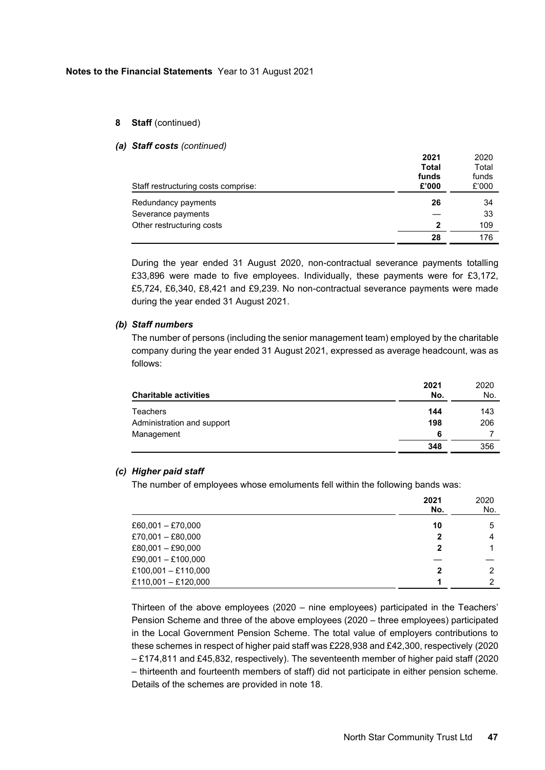### **8 Staff** (continued)

#### *(a) Staff costs (continued)*

| Staff restructuring costs comprise: | 2021<br><b>Total</b><br>funds<br>£'000 | 2020<br>Total<br>funds<br>£'000 |
|-------------------------------------|----------------------------------------|---------------------------------|
| Redundancy payments                 | 26                                     | 34                              |
| Severance payments                  |                                        | 33                              |
| Other restructuring costs           | 2                                      | 109                             |
|                                     | 28                                     | 176                             |

During the year ended 31 August 2020, non-contractual severance payments totalling £33,896 were made to five employees. Individually, these payments were for £3,172, £5,724, £6,340, £8,421 and £9,239. No non-contractual severance payments were made during the year ended 31 August 2021.

# *(b) Staff numbers*

The number of persons (including the senior management team) employed by the charitable company during the year ended 31 August 2021, expressed as average headcount, was as follows:

| <b>Charitable activities</b> | 2021<br>No. | 2020<br>No. |
|------------------------------|-------------|-------------|
| <b>Teachers</b>              | 144         | 143         |
| Administration and support   | 198         | 206         |
| Management                   | 6           |             |
|                              | 348         | 356         |

### *(c) Higher paid staff*

The number of employees whose emoluments fell within the following bands was:

|                       | 2021<br>No. | 2020<br>No. |
|-----------------------|-------------|-------------|
| $£60,001 - £70,000$   | 10          | 5           |
| £70,001 - £80,000     | $\mathbf 2$ | 4           |
| $£80,001 - £90,000$   | 2           |             |
| £90,001 - £100,000    |             |             |
| $£100,001 - £110,000$ | 2           | 2           |
| £110,001 - £120,000   |             | っ           |

Thirteen of the above employees (2020 – nine employees) participated in the Teachers' Pension Scheme and three of the above employees (2020 – three employees) participated in the Local Government Pension Scheme. The total value of employers contributions to these schemes in respect of higher paid staff was £228,938 and £42,300, respectively (2020 – £174,811 and £45,832, respectively). The seventeenth member of higher paid staff (2020 – thirteenth and fourteenth members of staff) did not participate in either pension scheme. Details of the schemes are provided in note 18.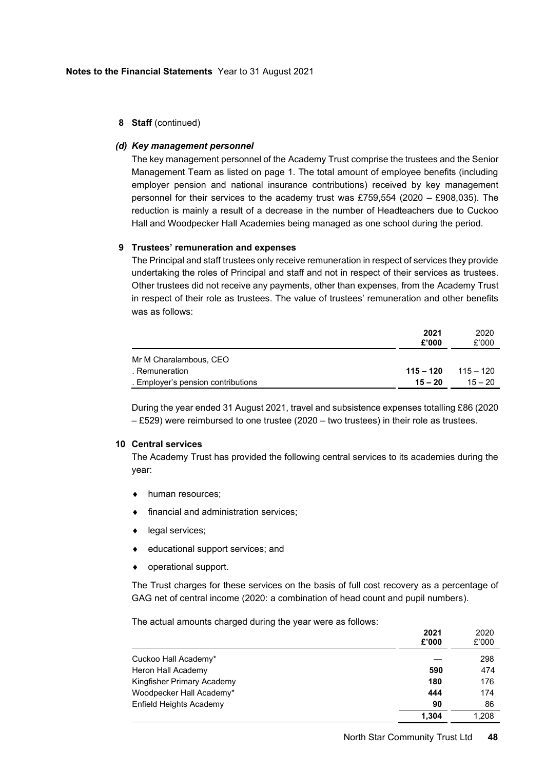# **8 Staff** (continued)

## *(d) Key management personnel*

The key management personnel of the Academy Trust comprise the trustees and the Senior Management Team as listed on page 1. The total amount of employee benefits (including employer pension and national insurance contributions) received by key management personnel for their services to the academy trust was £759,554 (2020 – £908,035). The reduction is mainly a result of a decrease in the number of Headteachers due to Cuckoo Hall and Woodpecker Hall Academies being managed as one school during the period.

### **9 Trustees' remuneration and expenses**

The Principal and staff trustees only receive remuneration in respect of services they provide undertaking the roles of Principal and staff and not in respect of their services as trustees. Other trustees did not receive any payments, other than expenses, from the Academy Trust in respect of their role as trustees. The value of trustees' remuneration and other benefits was as follows:

|                                    | 2021<br>£'000 | 2020<br>£'000 |
|------------------------------------|---------------|---------------|
| Mr M Charalambous, CEO             |               |               |
| . Remuneration                     | $115 - 120$   | $115 - 120$   |
| . Employer's pension contributions | $15 - 20$     | $15 - 20$     |

During the year ended 31 August 2021, travel and subsistence expenses totalling £86 (2020 – £529) were reimbursed to one trustee (2020 – two trustees) in their role as trustees.

# **10 Central services**

The Academy Trust has provided the following central services to its academies during the year:

- $\bullet$  human resources;
- financial and administration services;
- legal services;
- educational support services; and
- operational support.

The Trust charges for these services on the basis of full cost recovery as a percentage of GAG net of central income (2020: a combination of head count and pupil numbers).

The actual amounts charged during the year were as follows:

|                            | ZUZ I<br>£'000 | ZUZU<br>£'000 |
|----------------------------|----------------|---------------|
| Cuckoo Hall Academy*       |                | 298           |
| Heron Hall Academy         | 590            | 474           |
| Kingfisher Primary Academy | 180            | 176           |
| Woodpecker Hall Academy*   | 444            | 174           |
| Enfield Heights Academy    | 90             | 86            |
|                            | 1.304          | 1,208         |

**2021**

 $0.002$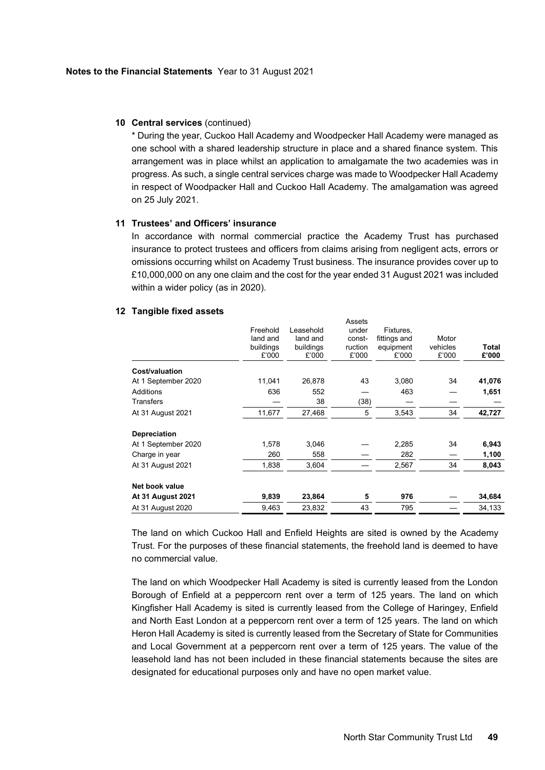### **10 Central services** (continued)

\* During the year, Cuckoo Hall Academy and Woodpecker Hall Academy were managed as one school with a shared leadership structure in place and a shared finance system. This arrangement was in place whilst an application to amalgamate the two academies was in progress. As such, a single central services charge was made to Woodpecker Hall Academy in respect of Woodpacker Hall and Cuckoo Hall Academy. The amalgamation was agreed on 25 July 2021.

#### **11 Trustees' and Officers' insurance**

In accordance with normal commercial practice the Academy Trust has purchased insurance to protect trustees and officers from claims arising from negligent acts, errors or omissions occurring whilst on Academy Trust business. The insurance provides cover up to £10,000,000 on any one claim and the cost for the year ended 31 August 2021 was included within a wider policy (as in 2020).

 $A = 1$ 

#### **12 Tangible fixed assets**

|                          | Freehold<br>land and<br>buildings<br>£'000 | Leasehold<br>land and<br>buildings<br>£'000 | ASSEIS<br>under<br>const-<br>ruction<br>£'000 | Fixtures,<br>fittings and<br>equipment<br>£'000 | Motor<br>vehicles<br>£'000 | Total<br>£'000 |
|--------------------------|--------------------------------------------|---------------------------------------------|-----------------------------------------------|-------------------------------------------------|----------------------------|----------------|
| Cost/valuation           |                                            |                                             |                                               |                                                 |                            |                |
| At 1 September 2020      | 11,041                                     | 26,878                                      | 43                                            | 3,080                                           | 34                         | 41,076         |
| Additions                | 636                                        | 552                                         |                                               | 463                                             |                            | 1,651          |
| <b>Transfers</b>         |                                            | 38                                          | (38)                                          |                                                 |                            |                |
| At 31 August 2021        | 11,677                                     | 27,468                                      | 5                                             | 3,543                                           | 34                         | 42,727         |
| Depreciation             |                                            |                                             |                                               |                                                 |                            |                |
| At 1 September 2020      | 1,578                                      | 3,046                                       |                                               | 2,285                                           | 34                         | 6,943          |
| Charge in year           | 260                                        | 558                                         |                                               | 282                                             |                            | 1,100          |
| At 31 August 2021        | 1,838                                      | 3,604                                       |                                               | 2,567                                           | 34                         | 8,043          |
| Net book value           |                                            |                                             |                                               |                                                 |                            |                |
| <b>At 31 August 2021</b> | 9,839                                      | 23,864                                      | 5                                             | 976                                             |                            | 34,684         |
| At 31 August 2020        | 9,463                                      | 23,832                                      | 43                                            | 795                                             |                            | 34,133         |

The land on which Cuckoo Hall and Enfield Heights are sited is owned by the Academy Trust. For the purposes of these financial statements, the freehold land is deemed to have no commercial value.

The land on which Woodpecker Hall Academy is sited is currently leased from the London Borough of Enfield at a peppercorn rent over a term of 125 years. The land on which Kingfisher Hall Academy is sited is currently leased from the College of Haringey, Enfield and North East London at a peppercorn rent over a term of 125 years. The land on which Heron Hall Academy is sited is currently leased from the Secretary of State for Communities and Local Government at a peppercorn rent over a term of 125 years. The value of the leasehold land has not been included in these financial statements because the sites are designated for educational purposes only and have no open market value.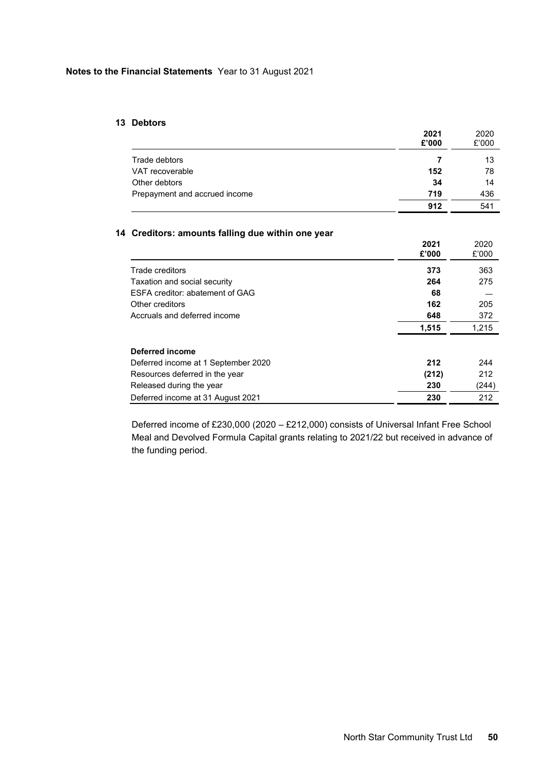## **13 Debtors**

|                               | 2021<br>£'000 | 2020<br>£'000 |
|-------------------------------|---------------|---------------|
| Trade debtors                 |               | 13            |
| VAT recoverable               | 152           | 78            |
| Other debtors                 | 34            | 14            |
| Prepayment and accrued income | 719           | 436           |
|                               | 912           | 541           |

# **14 Creditors: amounts falling due within one year**

|                                     | 2021  | 2020  |
|-------------------------------------|-------|-------|
|                                     | £'000 | £'000 |
|                                     |       |       |
| Trade creditors                     | 373   | 363   |
| Taxation and social security        | 264   | 275   |
| ESFA creditor: abatement of GAG     | 68    |       |
| Other creditors                     | 162   | 205   |
| Accruals and deferred income        | 648   | 372   |
|                                     | 1,515 | 1,215 |
| Deferred income                     |       |       |
| Deferred income at 1 September 2020 | 212   | 244   |
| Resources deferred in the year      | (212) | 212   |
| Released during the year            | 230   | (244) |
| Deferred income at 31 August 2021   | 230   | 212   |

Deferred income of £230,000 (2020 – £212,000) consists of Universal Infant Free School Meal and Devolved Formula Capital grants relating to 2021/22 but received in advance of the funding period.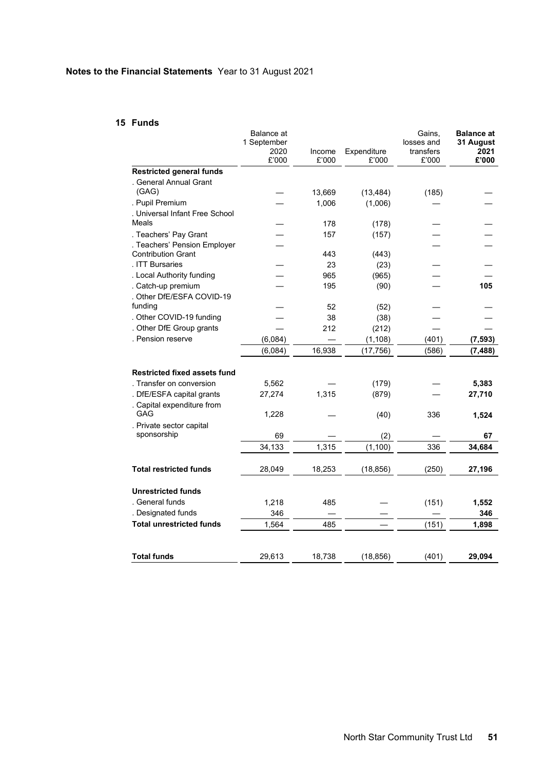# **15 Funds**

|                                     | Balance at          |        |             | Gains,                  | <b>Balance at</b> |
|-------------------------------------|---------------------|--------|-------------|-------------------------|-------------------|
|                                     | 1 September<br>2020 | Income | Expenditure | losses and<br>transfers | 31 August<br>2021 |
|                                     | £'000               | £'000  | £'000       | £'000                   | £'000             |
| <b>Restricted general funds</b>     |                     |        |             |                         |                   |
| . General Annual Grant              |                     |        |             |                         |                   |
| (GAG)                               |                     | 13,669 | (13, 484)   | (185)                   |                   |
| . Pupil Premium                     |                     | 1,006  | (1,006)     |                         |                   |
| . Universal Infant Free School      |                     |        |             |                         |                   |
| Meals                               |                     | 178    | (178)       |                         |                   |
| . Teachers' Pay Grant               |                     | 157    | (157)       |                         |                   |
| . Teachers' Pension Employer        |                     |        |             |                         |                   |
| <b>Contribution Grant</b>           |                     | 443    | (443)       |                         |                   |
| . ITT Bursaries                     |                     | 23     | (23)        |                         |                   |
| . Local Authority funding           |                     | 965    | (965)       |                         |                   |
| . Catch-up premium                  |                     | 195    | (90)        |                         | 105               |
| . Other DfE/ESFA COVID-19           |                     |        |             |                         |                   |
| funding                             |                     | 52     | (52)        |                         |                   |
| . Other COVID-19 funding            |                     | 38     | (38)        |                         |                   |
| . Other DfE Group grants            |                     | 212    | (212)       |                         |                   |
| . Pension reserve                   | (6,084)             |        | (1, 108)    | (401)                   | (7, 593)          |
|                                     | (6,084)             | 16,938 | (17, 756)   | (586)                   | (7, 488)          |
|                                     |                     |        |             |                         |                   |
| <b>Restricted fixed assets fund</b> |                     |        |             |                         |                   |
| . Transfer on conversion            | 5,562               |        | (179)       |                         | 5,383             |
| . DfE/ESFA capital grants           | 27,274              | 1,315  | (879)       |                         | 27,710            |
| . Capital expenditure from<br>GAG   | 1,228               |        | (40)        | 336                     | 1,524             |
| . Private sector capital            |                     |        |             |                         |                   |
| sponsorship                         | 69                  |        | (2)         |                         | 67                |
|                                     | 34,133              | 1,315  | (1, 100)    | 336                     | 34,684            |
|                                     |                     |        |             |                         |                   |
| <b>Total restricted funds</b>       | 28,049              | 18,253 | (18, 856)   | (250)                   | 27,196            |
|                                     |                     |        |             |                         |                   |
| <b>Unrestricted funds</b>           |                     |        |             |                         |                   |
| . General funds                     | 1,218               | 485    |             | (151)                   | 1,552             |
| . Designated funds                  | 346                 |        |             |                         | 346               |
| <b>Total unrestricted funds</b>     | 1,564               | 485    |             | (151)                   | 1,898             |
|                                     |                     |        |             |                         |                   |
| <b>Total funds</b>                  | 29,613              | 18,738 | (18, 856)   | (401)                   | 29,094            |
|                                     |                     |        |             |                         |                   |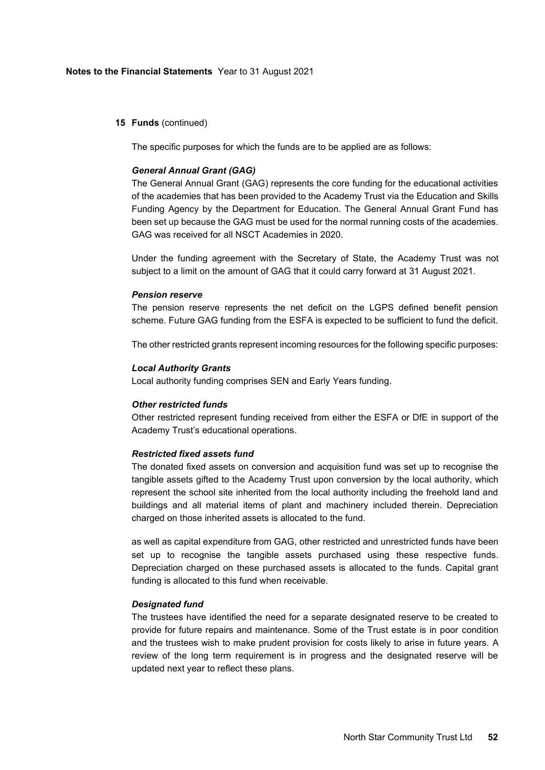### **15 Funds** (continued)

The specific purposes for which the funds are to be applied are as follows:

#### *General Annual Grant (GAG)*

The General Annual Grant (GAG) represents the core funding for the educational activities of the academies that has been provided to the Academy Trust via the Education and Skills Funding Agency by the Department for Education. The General Annual Grant Fund has been set up because the GAG must be used for the normal running costs of the academies. GAG was received for all NSCT Academies in 2020.

Under the funding agreement with the Secretary of State, the Academy Trust was not subject to a limit on the amount of GAG that it could carry forward at 31 August 2021.

#### *Pension reserve*

The pension reserve represents the net deficit on the LGPS defined benefit pension scheme. Future GAG funding from the ESFA is expected to be sufficient to fund the deficit.

The other restricted grants represent incoming resources for the following specific purposes:

#### *Local Authority Grants*

Local authority funding comprises SEN and Early Years funding.

#### *Other restricted funds*

Other restricted represent funding received from either the ESFA or DfE in support of the Academy Trust's educational operations.

#### *Restricted fixed assets fund*

The donated fixed assets on conversion and acquisition fund was set up to recognise the tangible assets gifted to the Academy Trust upon conversion by the local authority, which represent the school site inherited from the local authority including the freehold land and buildings and all material items of plant and machinery included therein. Depreciation charged on those inherited assets is allocated to the fund.

as well as capital expenditure from GAG, other restricted and unrestricted funds have been set up to recognise the tangible assets purchased using these respective funds. Depreciation charged on these purchased assets is allocated to the funds. Capital grant funding is allocated to this fund when receivable.

### *Designated fund*

The trustees have identified the need for a separate designated reserve to be created to provide for future repairs and maintenance. Some of the Trust estate is in poor condition and the trustees wish to make prudent provision for costs likely to arise in future years. A review of the long term requirement is in progress and the designated reserve will be updated next year to reflect these plans.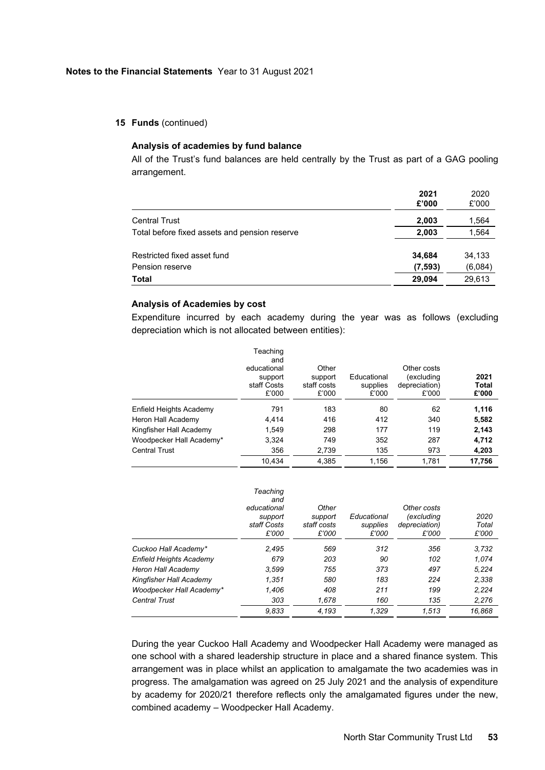#### **15 Funds** (continued)

# **Analysis of academies by fund balance**

All of the Trust's fund balances are held centrally by the Trust as part of a GAG pooling arrangement.

|                                                | 2021<br>£'000      | 2020<br>£'000     |
|------------------------------------------------|--------------------|-------------------|
| <b>Central Trust</b>                           | 2,003              | 1,564             |
| Total before fixed assets and pension reserve  | 2,003              | 1,564             |
| Restricted fixed asset fund<br>Pension reserve | 34,684<br>(7, 593) | 34,133<br>(6,084) |
| <b>Total</b>                                   | 29,094             | 29,613            |

## **Analysis of Academies by cost**

Expenditure incurred by each academy during the year was as follows (excluding depreciation which is not allocated between entities):

|                          | Teaching<br>and<br>educational<br>support<br>staff Costs<br>£'000 | Other<br>support<br>staff costs<br>£'000 | Educational<br>supplies<br>£'000 | Other costs<br>(excluding<br>depreciation)<br>£'000 | 2021<br><b>Total</b><br>£'000 |
|--------------------------|-------------------------------------------------------------------|------------------------------------------|----------------------------------|-----------------------------------------------------|-------------------------------|
| Enfield Heights Academy  | 791                                                               | 183                                      | 80                               | 62                                                  | 1,116                         |
| Heron Hall Academy       | 4.414                                                             | 416                                      | 412                              | 340                                                 | 5,582                         |
| Kingfisher Hall Academy  | 1,549                                                             | 298                                      | 177                              | 119                                                 | 2,143                         |
| Woodpecker Hall Academy* | 3,324                                                             | 749                                      | 352                              | 287                                                 | 4,712                         |
| <b>Central Trust</b>     | 356                                                               | 2,739                                    | 135                              | 973                                                 | 4,203                         |
|                          | 10.434                                                            | 4.385                                    | 1,156                            | 1,781                                               | 17,756                        |

|                                | Teaching<br>and<br>educational<br>support<br>staff Costs<br>£'000 | Other<br>support<br>staff costs<br>£'000 | Educational<br>supplies<br>£'000 | Other costs<br>(excluding<br>depreciation)<br>£'000 | 2020<br>Total<br>£'000 |
|--------------------------------|-------------------------------------------------------------------|------------------------------------------|----------------------------------|-----------------------------------------------------|------------------------|
| Cuckoo Hall Academy*           | 2.495                                                             | 569                                      | 312                              | 356                                                 | 3,732                  |
| <b>Enfield Heights Academy</b> | 679                                                               | 203                                      | 90                               | 102                                                 | 1.074                  |
| Heron Hall Academy             | 3.599                                                             | 755                                      | 373                              | 497                                                 | 5.224                  |
| Kingfisher Hall Academy        | 1.351                                                             | 580                                      | 183                              | 224                                                 | 2,338                  |
| Woodpecker Hall Academy*       | 1.406                                                             | 408                                      | 211                              | 199                                                 | 2.224                  |
| <b>Central Trust</b>           | 303                                                               | 1,678                                    | 160                              | 135                                                 | 2.276                  |
|                                | 9.833                                                             | 4.193                                    | 1.329                            | 1.513                                               | 16.868                 |

During the year Cuckoo Hall Academy and Woodpecker Hall Academy were managed as one school with a shared leadership structure in place and a shared finance system. This arrangement was in place whilst an application to amalgamate the two academies was in progress. The amalgamation was agreed on 25 July 2021 and the analysis of expenditure by academy for 2020/21 therefore reflects only the amalgamated figures under the new, combined academy – Woodpecker Hall Academy.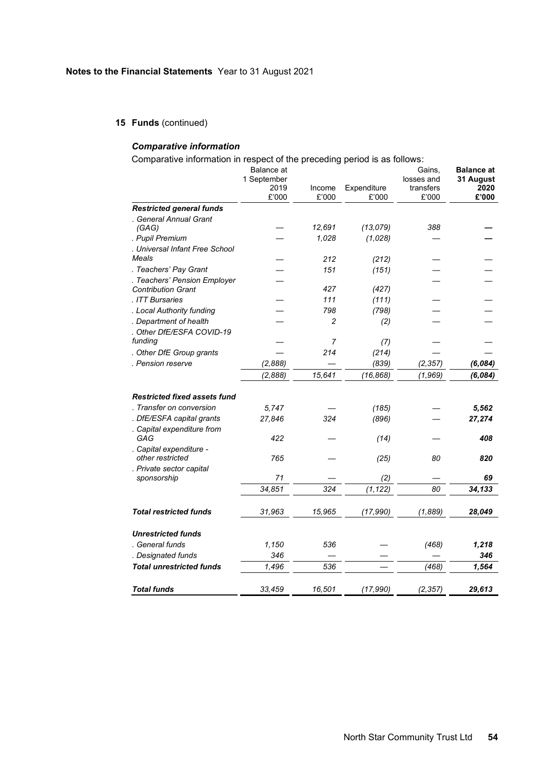**15 Funds** (continued)

# *Comparative information*

Comparative information in respect of the preceding period is as follows:

|                                         | Balance at  |                 |                      | Gains.             | <b>Balance at</b> |
|-----------------------------------------|-------------|-----------------|----------------------|--------------------|-------------------|
|                                         | 1 September |                 |                      | losses and         | 31 August         |
|                                         | 2019        | Income<br>£'000 | Expenditure<br>£'000 | transfers<br>£'000 | 2020<br>£'000     |
|                                         | £'000       |                 |                      |                    |                   |
| <b>Restricted general funds</b>         |             |                 |                      |                    |                   |
| . General Annual Grant<br>(GAG)         |             | 12,691          | (13,079)             | 388                |                   |
| . Pupil Premium                         |             | 1,028           | (1,028)              |                    |                   |
| . Universal Infant Free School          |             |                 |                      |                    |                   |
| Meals                                   |             | 212             | (212)                |                    |                   |
| . Teachers' Pay Grant                   |             | 151             | (151)                |                    |                   |
| . Teachers' Pension Employer            |             |                 |                      |                    |                   |
| <b>Contribution Grant</b>               |             | 427             | (427)                |                    |                   |
| . ITT Bursaries                         |             | 111             | (111)                |                    |                   |
| . Local Authority funding               |             | 798             | (798)                |                    |                   |
| . Department of health                  |             | $\mathfrak{p}$  | (2)                  |                    |                   |
| . Other DfE/ESFA COVID-19               |             |                 |                      |                    |                   |
| funding                                 |             | $\overline{7}$  | (7)                  |                    |                   |
| . Other DfE Group grants                |             | 214             | (214)                |                    |                   |
| . Pension reserve                       | (2,888)     |                 | (839)                | (2, 357)           | (6,084)           |
|                                         | (2,888)     | 15,641          | (16, 868)            | (1, 969)           | (6,084)           |
|                                         |             |                 |                      |                    |                   |
| <b>Restricted fixed assets fund</b>     |             |                 |                      |                    |                   |
| . Transfer on conversion                | 5.747       |                 | (185)                |                    | 5,562             |
| . DfE/ESFA capital grants               | 27,846      | 324             | (896)                |                    | 27,274            |
| . Capital expenditure from              |             |                 |                      |                    |                   |
| GAG                                     | 422         |                 | (14)                 |                    | 408               |
| . Capital expenditure -                 |             |                 |                      |                    |                   |
| other restricted                        | 765         |                 | (25)                 | 80                 | 820               |
| . Private sector capital<br>sponsorship | 71          |                 | (2)                  |                    | 69                |
|                                         |             | 324             |                      |                    |                   |
|                                         | 34,851      |                 | (1, 122)             | 80                 | 34,133            |
| <b>Total restricted funds</b>           | 31,963      | 15,965          |                      | (1,889)            |                   |
|                                         |             |                 | (17, 990)            |                    | 28,049            |
| <b>Unrestricted funds</b>               |             |                 |                      |                    |                   |
| . General funds                         | 1,150       | 536             |                      | (468)              | 1,218             |
| . Designated funds                      | 346         |                 |                      |                    | 346               |
| <b>Total unrestricted funds</b>         |             | 536             |                      |                    |                   |
|                                         | 1.496       |                 |                      | (468)              | 1,564             |
| <b>Total funds</b>                      | 33,459      | 16,501          | (17, 990)            | (2, 357)           | 29,613            |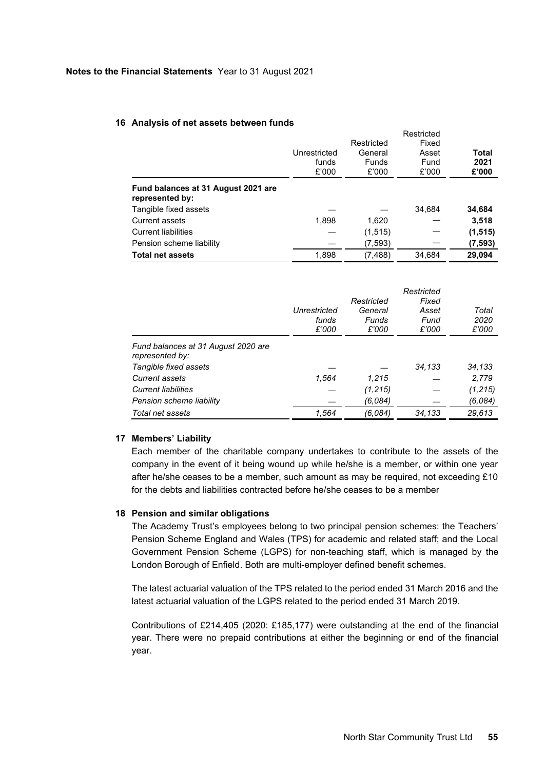### **16 Analysis of net assets between funds**

|                                                        | Unrestricted<br>funds<br>£'000 | Restricted<br>General<br><b>Funds</b><br>£'000 | Fixed<br>Asset<br>Fund<br>£'000 | Total<br>2021<br>£'000 |
|--------------------------------------------------------|--------------------------------|------------------------------------------------|---------------------------------|------------------------|
| Fund balances at 31 August 2021 are<br>represented by: |                                |                                                |                                 |                        |
| Tangible fixed assets                                  |                                |                                                | 34,684                          | 34,684                 |
| <b>Current assets</b>                                  | 1,898                          | 1,620                                          |                                 | 3,518                  |
| <b>Current liabilities</b>                             |                                | (1, 515)                                       |                                 | (1, 515)               |
| Pension scheme liability                               |                                | (7, 593)                                       |                                 | (7, 593)               |
| <b>Total net assets</b>                                | 1,898                          | (7, 488)                                       | 34.684                          | 29.094                 |

Restricted

|                                                        | Unrestricted<br>funds<br>£'000 | Restricted<br>General<br>Funds<br>£'000 | Restricted<br>Fixed<br>Asset<br>Fund<br>£'000 | Total<br>2020<br>£'000 |
|--------------------------------------------------------|--------------------------------|-----------------------------------------|-----------------------------------------------|------------------------|
| Fund balances at 31 August 2020 are<br>represented by: |                                |                                         |                                               |                        |
| Tangible fixed assets                                  |                                |                                         | 34,133                                        | 34,133                 |
| <b>Current assets</b>                                  | 1,564                          | 1.215                                   |                                               | 2,779                  |
| <b>Current liabilities</b>                             |                                | (1, 215)                                |                                               | (1, 215)               |
| Pension scheme liability                               |                                | (6,084)                                 |                                               | (6,084)                |
| Total net assets                                       | 1,564                          | (6,084)                                 | 34,133                                        | 29,613                 |

## **17 Members' Liability**

Each member of the charitable company undertakes to contribute to the assets of the company in the event of it being wound up while he/she is a member, or within one year after he/she ceases to be a member, such amount as may be required, not exceeding £10 for the debts and liabilities contracted before he/she ceases to be a member

### **18 Pension and similar obligations**

The Academy Trust's employees belong to two principal pension schemes: the Teachers' Pension Scheme England and Wales (TPS) for academic and related staff; and the Local Government Pension Scheme (LGPS) for non-teaching staff, which is managed by the London Borough of Enfield. Both are multi-employer defined benefit schemes.

The latest actuarial valuation of the TPS related to the period ended 31 March 2016 and the latest actuarial valuation of the LGPS related to the period ended 31 March 2019.

Contributions of £214,405 (2020: £185,177) were outstanding at the end of the financial year. There were no prepaid contributions at either the beginning or end of the financial year.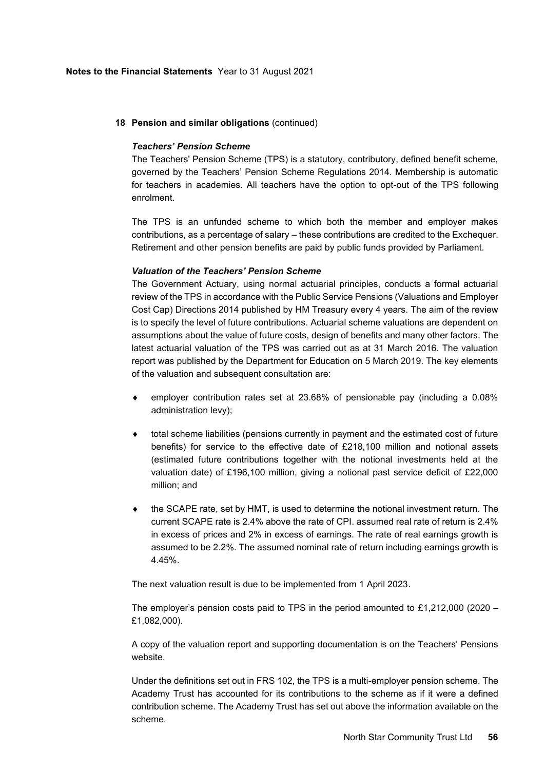# **18 Pension and similar obligations** (continued)

## *Teachers' Pension Scheme*

The Teachers' Pension Scheme (TPS) is a statutory, contributory, defined benefit scheme, governed by the Teachers' Pension Scheme Regulations 2014. Membership is automatic for teachers in academies. All teachers have the option to opt-out of the TPS following enrolment.

The TPS is an unfunded scheme to which both the member and employer makes contributions, as a percentage of salary – these contributions are credited to the Exchequer. Retirement and other pension benefits are paid by public funds provided by Parliament.

## *Valuation of the Teachers' Pension Scheme*

The Government Actuary, using normal actuarial principles, conducts a formal actuarial review of the TPS in accordance with the Public Service Pensions (Valuations and Employer Cost Cap) Directions 2014 published by HM Treasury every 4 years. The aim of the review is to specify the level of future contributions. Actuarial scheme valuations are dependent on assumptions about the value of future costs, design of benefits and many other factors. The latest actuarial valuation of the TPS was carried out as at 31 March 2016. The valuation report was published by the Department for Education on 5 March 2019. The key elements of the valuation and subsequent consultation are:

- employer contribution rates set at 23.68% of pensionable pay (including a 0.08% administration levy);
- total scheme liabilities (pensions currently in payment and the estimated cost of future benefits) for service to the effective date of £218,100 million and notional assets (estimated future contributions together with the notional investments held at the valuation date) of £196,100 million, giving a notional past service deficit of £22,000 million; and
- the SCAPE rate, set by HMT, is used to determine the notional investment return. The current SCAPE rate is 2.4% above the rate of CPI. assumed real rate of return is 2.4% in excess of prices and 2% in excess of earnings. The rate of real earnings growth is assumed to be 2.2%. The assumed nominal rate of return including earnings growth is 4.45%.

The next valuation result is due to be implemented from 1 April 2023.

The employer's pension costs paid to TPS in the period amounted to £1,212,000 (2020 – £1,082,000).

A copy of the valuation report and supporting documentation is on the Teachers' Pensions website.

Under the definitions set out in FRS 102, the TPS is a multi-employer pension scheme. The Academy Trust has accounted for its contributions to the scheme as if it were a defined contribution scheme. The Academy Trust has set out above the information available on the scheme.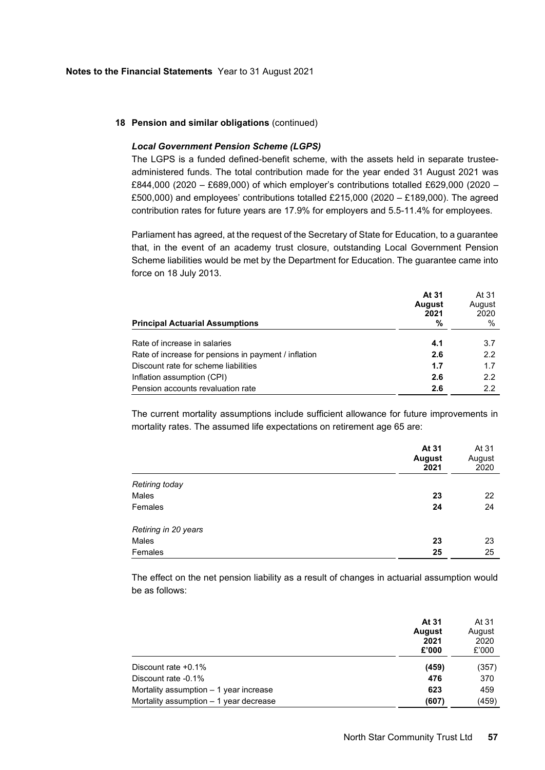#### **18 Pension and similar obligations** (continued)

## *Local Government Pension Scheme (LGPS)*

The LGPS is a funded defined-benefit scheme, with the assets held in separate trusteeadministered funds. The total contribution made for the year ended 31 August 2021 was £844,000 (2020 – £689,000) of which employer's contributions totalled £629,000 (2020 – £500,000) and employees' contributions totalled £215,000 (2020 – £189,000). The agreed contribution rates for future years are 17.9% for employers and 5.5-11.4% for employees.

Parliament has agreed, at the request of the Secretary of State for Education, to a guarantee that, in the event of an academy trust closure, outstanding Local Government Pension Scheme liabilities would be met by the Department for Education. The guarantee came into force on 18 July 2013.

|                                                      | At 31         | At 31  |
|------------------------------------------------------|---------------|--------|
|                                                      | <b>August</b> | August |
|                                                      | 2021          | 2020   |
| <b>Principal Actuarial Assumptions</b>               | %             | %      |
|                                                      |               |        |
| Rate of increase in salaries                         | 4.1           | 3.7    |
| Rate of increase for pensions in payment / inflation | 2.6           | 2.2    |
| Discount rate for scheme liabilities                 | 1.7           | 1.7    |
| Inflation assumption (CPI)                           | 2.6           | 2.2    |
| Pension accounts revaluation rate                    | 2.6           | 2.2    |

The current mortality assumptions include sufficient allowance for future improvements in mortality rates. The assumed life expectations on retirement age 65 are:

|                      | At 31<br><b>August</b><br>2021 | At 31<br>August<br>2020 |
|----------------------|--------------------------------|-------------------------|
| Retiring today       |                                |                         |
| Males                | 23                             | 22                      |
| Females              | 24                             | 24                      |
| Retiring in 20 years |                                |                         |
| Males                | 23                             | 23                      |
| Females              | 25                             | 25                      |

The effect on the net pension liability as a result of changes in actuarial assumption would be as follows:

|                                        | At 31<br><b>August</b><br>2021<br>£'000 | At 31<br>August<br>2020<br>£'000 |
|----------------------------------------|-----------------------------------------|----------------------------------|
| Discount rate +0.1%                    | (459)                                   | (357)                            |
| Discount rate -0.1%                    | 476                                     | 370                              |
| Mortality assumption - 1 year increase | 623                                     | 459                              |
| Mortality assumption – 1 year decrease | (607)                                   | (459)                            |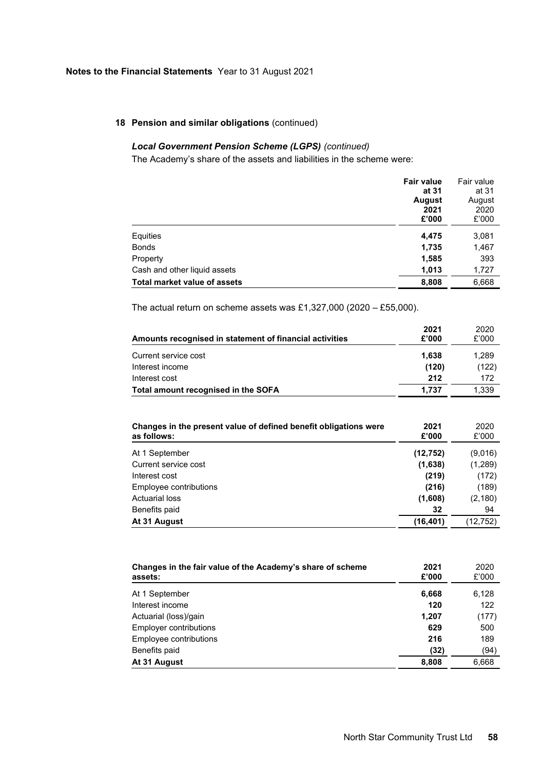# **18 Pension and similar obligations** (continued)

# *Local Government Pension Scheme (LGPS) (continued)*

The Academy's share of the assets and liabilities in the scheme were:

|                              | <b>Fair value</b> | Fair value |
|------------------------------|-------------------|------------|
|                              | at 31             | at 31      |
|                              | <b>August</b>     | August     |
|                              | 2021              | 2020       |
|                              | £'000             | £'000      |
| Equities                     | 4,475             | 3,081      |
| <b>Bonds</b>                 | 1,735             | 1,467      |
| Property                     | 1,585             | 393        |
| Cash and other liquid assets | 1,013             | 1,727      |
| Total market value of assets | 8,808             | 6,668      |

The actual return on scheme assets was £1,327,000 (2020 – £55,000).

| Amounts recognised in statement of financial activities | 2021<br>£'000 | 2020<br>£'000 |
|---------------------------------------------------------|---------------|---------------|
| Current service cost                                    | 1.638         | 1.289         |
| Interest income                                         | (120)         | (122)         |
| Interest cost                                           | 212           | 172           |
| Total amount recognised in the SOFA                     | 1.737         | 1.339         |

| Changes in the present value of defined benefit obligations were<br>as follows: | 2021<br>£'000 | 2020<br>£'000 |
|---------------------------------------------------------------------------------|---------------|---------------|
| At 1 September                                                                  | (12, 752)     | (9,016)       |
| Current service cost                                                            | (1,638)       | (1,289)       |
| Interest cost                                                                   | (219)         | (172)         |
| Employee contributions                                                          | (216)         | (189)         |
| <b>Actuarial loss</b>                                                           | (1,608)       | (2, 180)      |
| Benefits paid                                                                   | 32            | 94            |
| At 31 August                                                                    | (16, 401)     | (12,752)      |

| Changes in the fair value of the Academy's share of scheme<br>assets: | 2021<br>£'000 | 2020<br>£'000 |
|-----------------------------------------------------------------------|---------------|---------------|
| At 1 September                                                        | 6,668         | 6,128         |
| Interest income                                                       | 120           | 122           |
| Actuarial (loss)/gain                                                 | 1,207         | (177)         |
| <b>Employer contributions</b>                                         | 629           | 500           |
| Employee contributions                                                | 216           | 189           |
| Benefits paid                                                         | (32)          | (94)          |
| At 31 August                                                          | 8,808         | 6,668         |